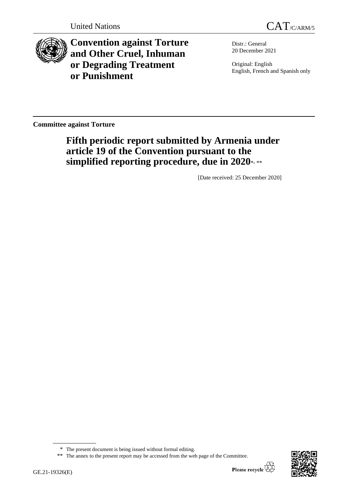

**Convention against Torture and Other Cruel, Inhuman or Degrading Treatment or Punishment**

Distr.: General 20 December 2021

Original: English English, French and Spanish only

**Committee against Torture**

# **Fifth periodic report submitted by Armenia under article 19 of the Convention pursuant to the simplified reporting procedure, due in 2020**\* , \*\*

[Date received: 25 December 2020]



<sup>\*</sup> The present document is being issued without formal editing.

<sup>\*\*</sup> The annex to the present report may be accessed from the web page of the Committee.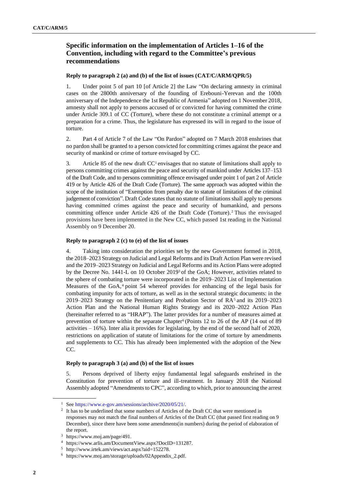## **Specific information on the implementation of Articles 1–16 of the Convention, including with regard to the Committee's previous recommendations**

## **Reply to paragraph 2 (a) and (b) of the list of issues (CAT/C/ARM/QPR/5)**

1. Under point 5 of part 10 [of Article 2] the Law "On declaring amnesty in criminal cases on the 2800th anniversary of the founding of Erebouni-Yerevan and the 100th anniversary of the Independence the 1st Republic of Armenia" adopted on 1 November 2018, amnesty shall not apply to persons accused of or convicted for having committed the crime under Article 309.1 of CC (Torture), where these do not constitute a criminal attempt or a preparation for a crime. Thus, the legislature has expressed its will in regard to the issue of torture.

2. Part 4 of Article 7 of the Law "On Pardon" adopted on 7 March 2018 enshrines that no pardon shall be granted to a person convicted for committing crimes against the peace and security of mankind or crime of torture envisaged by CC.

3. Article 85 of the new draft CC<sup>1</sup> envisages that no statute of limitations shall apply to persons committing crimes against the peace and security of mankind under Articles 137–153 of the Draft Code, and to persons committing offence envisaged under point 1 of part 2 of Article 419 or by Article 426 of the Draft Code (Torture). The same approach was adopted within the scope of the institution of "Exemption from penalty due to statute of limitations of the criminal judgement of conviction". Draft Code states that no statute of limitations shall apply to persons having committed crimes against the peace and security of humankind, and persons committing offence under Article 426 of the Draft Code (Torture). <sup>2</sup> Thus the envisaged provisions have been implemented in the New CC, which passed 1st reading in the National Assembly on 9 December 20.

## **Reply to paragraph 2 (c) to (e) of the list of issues**

4. Taking into consideration the priorities set by the new Government formed in 2018, the 2018–2023 Strategy on Judicial and Legal Reforms and its Draft Action Plan were revised and the 2019–2023 Strategy on Judicial and Legal Reforms and its Action Plans were adopted by the Decree No. 1441-L on 10 October 2019<sup>3</sup> of the GoA; However, activities related to the sphere of combating torture were incorporated in the 2019–2023 List of Implementation Measures of the GoA, <sup>4</sup> point 54 whereof provides for enhancing of the legal basis for combating impunity for acts of torture, as well as in the sectoral strategic documents: in the 2019–2023 Strategy on the Penitentiary and Probation Sector of  $RA<sup>5</sup>$  and its 2019–2023 Action Plan and the National Human Rights Strategy and its 2020–2022 Action Plan (hereinafter referred to as "HRAP"). The latter provides for a number of measures aimed at prevention of torture within the separate Chapter<sup>6</sup> (Points 12 to 26 of the AP  $(14 \text{ out of } 89)$ activities – 16%). Inter alia it provides for legislating, by the end of the second half of 2020, restrictions on application of statute of limitations for the crime of torture by amendments and supplements to CC. This has already been implemented with the adoption of the New CC.

#### **Reply to paragraph 3 (a) and (b) of the list of issues**

5. Persons deprived of liberty enjoy fundamental legal safeguards enshrined in the Constitution for prevention of torture and ill-treatment. In January 2018 the National Assembly adopted "Amendments to CPC", according to which, prior to announcing the arrest

<sup>1</sup> See [https://www.e-gov.am/sessions/archive/2020/05/21/.](https://www.e-gov.am/sessions/archive/2020/05/21/)

<sup>&</sup>lt;sup>2</sup> It has to be underlined that some numbers of Articles of the Draft CC that were mentioned in responses may not match the final numbers of Articles of the Draft CC (that passed first reading on 9 December), since there have been some amendments(in numbers) during the period of elaboration of the report.

<sup>3</sup> https://www.moj.am/page/491.

<sup>4</sup> https://www.arlis.am/DocumentView.aspx?DocID=131287.

<sup>5</sup> http://www.irtek.am/views/act.aspx?aid=152278.

<sup>6</sup> https://www.moj.am/storage/uploads/02Appendix\_2.pdf.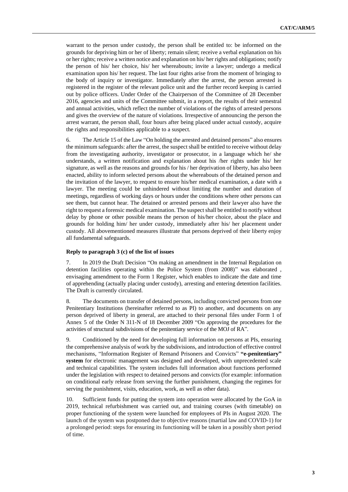warrant to the person under custody, the person shall be entitled to: be informed on the grounds for depriving him or her of liberty; remain silent; receive a verbal explanation on his or her rights; receive a written notice and explanation on his/ her rights and obligations; notify the person of his/ her choice, his/ her whereabouts; invite a lawyer; undergo a medical examination upon his/ her request. The last four rights arise from the moment of bringing to the body of inquiry or investigator. Immediately after the arrest, the person arrested is registered in the register of the relevant police unit and the further record keeping is carried out by police officers. Under Order of the Chairperson of the Committee of 28 December 2016, agencies and units of the Committee submit, in a report, the results of their semestral and annual activities, which reflect the number of violations of the rights of arrested persons and gives the overview of the nature of violations. Irrespective of announcing the person the arrest warrant, the person shall, four hours after being placed under actual custody, acquire the rights and responsibilities applicable to a suspect.

6. The Article 15 of the Law "On holding the arrested and detained persons" also ensures the minimum safeguards: after the arrest, the suspect shall be entitled to receive without delay from the investigating authority, investigator or prosecutor, in a language which he/ she understands, a written notification and explanation about his /her rights under his/ her signature, as well as the reasons and grounds for his / her deprivation of liberty, has also been enacted, ability to inform selected persons about the whereabouts of the detained person and the invitation of the lawyer, to request to ensure his/her medical examination, a date with a lawyer. The meeting could be unhindered without limiting the number and duration of meetings, regardless of working days or hours under the conditions where other persons can see them, but cannot hear. The detained or arrested persons and their lawyer also have the right to request a forensic medical examination. The suspect shall be entitled to notify without delay by phone or other possible means the person of his/her choice, about the place and grounds for holding him/ her under custody, immediately after his/ her placement under custody. All abovementioned measures illustrate that persons deprived of their liberty enjoy all fundamental safeguards.

#### **Reply to paragraph 3 (c) of the list of issues**

7. In 2019 the Draft Decision "On making an amendment in the Internal Regulation on detention facilities operating within the Police System (from 2008)" was elaborated , envisaging amendment to the Form 1 Register, which enables to indicate the date and time of apprehending (actually placing under custody), arresting and entering detention facilities. The Draft is currently circulated.

8. The documents on transfer of detained persons, including convicted persons from one Penitentiary Institutions (hereinafter referred to as PI) to another, and documents on any person deprived of liberty in general, are attached to their personal files under Form 1 of Annex 5 of the Order N 311-N of 18 December 2009 "On approving the procedures for the activities of structural subdivisions of the penitentiary service of the MOJ of RA".

9. Conditioned by the need for developing full information on persons at PIs, ensuring the comprehensive analysis of work by the subdivisions, and introduction of effective control mechanisms, "Information Register of Remand Prisoners and Convicts" **"e-penitentiary" system** for electronic management was designed and developed, with unprecedented scale and technical capabilities. The system includes full information about functions performed under the legislation with respect to detained persons and convicts (for example: information on conditional early release from serving the further punishment, changing the regimes for serving the punishment, visits, education, work, as well as other data).

10. Sufficient funds for putting the system into operation were allocated by the GoA in 2019, technical refurbishment was carried out, and training courses (with timetable) on proper functioning of the system were launched for employees of PIs in August 2020. The launch of the system was postponed due to objective reasons (martial law and COVID-1) for a prolonged period: steps for ensuring its functioning will be taken in a possibly short period of time.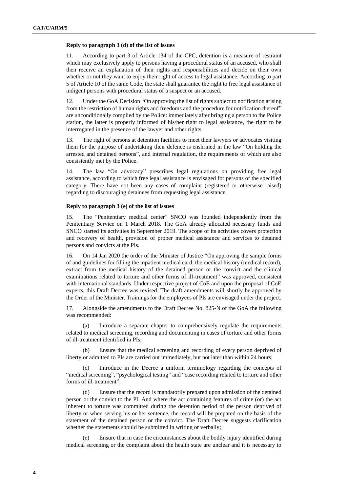#### **Reply to paragraph 3 (d) of the list of issues**

11. According to part 3 of Article 134 of the CPC, detention is a measure of restraint which may exclusively apply to persons having a procedural status of an accused, who shall then receive an explanation of their rights and responsibilities and decide on their own whether or not they want to enjoy their right of access to legal assistance. According to part 5 of Article 10 of the same Code, the state shall guarantee the right to free legal assistance of indigent persons with procedural status of a suspect or an accused.

12. Under the GoA Decision "On approving the list of rights subject to notification arising from the restriction of human rights and freedoms and the procedure for notification thereof" are unconditionally complied by the Police: immediately after bringing a person to the Police station, the latter is properly informed of his/her right to legal assistance, the right to be interrogated in the presence of the lawyer and other rights.

13. The right of persons at detention facilities to meet their lawyers or advocates visiting them for the purpose of undertaking their defence is enshrined in the law "On holding the arrested and detained persons", and internal regulation, the requirements of which are also consistently met by the Police.

14. The law "On advocacy" prescribes legal regulations on providing free legal assistance, according to which free legal assistance is envisaged for persons of the specified category. There have not been any cases of complaint (registered or otherwise raised) regarding to discouraging detainees from requesting legal assistance.

#### **Reply to paragraph 3 (e) of the list of issues**

15. The "Penitentiary medical center" SNCO was founded independently from the Penitentiary Service on 1 March 2018. The GoA already allocated necessary funds and SNCO started its activities in September 2019. The scope of its activities covers protection and recovery of health, provision of proper medical assistance and services to detained persons and convicts at the PIs.

16. On 14 Jan 2020 the order of the Minister of Justice "On approving the sample forms of and guidelines for filling the inpatient medical card, the medical history (medical record), extract from the medical history of the detained person or the convict and the clinical examinations related to torture and other forms of ill-treatment" was approved, consistent with international standards. Under respective project of CoE and upon the proposal of CoE experts, this Draft Decree was revised. The draft amendments will shortly be approved by the Order of the Minister. Trainings for the employees of PIs are envisaged under the project.

17. Alongside the amendments to the Draft Decree No. 825-N of the GoA the following was recommended:

(a) Introduce a separate chapter to comprehensively regulate the requirements related to medical screening, recording and documenting in cases of torture and other forms of ill-treatment identified in PIs;

(b) Ensure that the medical screening and recording of every person deprived of liberty or admitted to PIs are carried out immediately, but not later than within 24 hours;

(c) Introduce in the Decree a uniform terminology regarding the concepts of "medical screening", "psychological testing" and "case recording related to torture and other forms of ill-treatment";

(d) Ensure that the record is mandatorily prepared upon admission of the detained person or the convict to the PI. And where the act containing features of crime (or) the act inherent to torture was committed during the detention period of the person deprived of liberty or when serving his or her sentence, the record will be prepared on the basis of the statement of the detained person or the convict. The Draft Decree suggests clarification whether the statements should be submitted in writing or verbally;

Ensure that in case the circumstances about the bodily injury identified during medical screening or the complaint about the health state are unclear and it is necessary to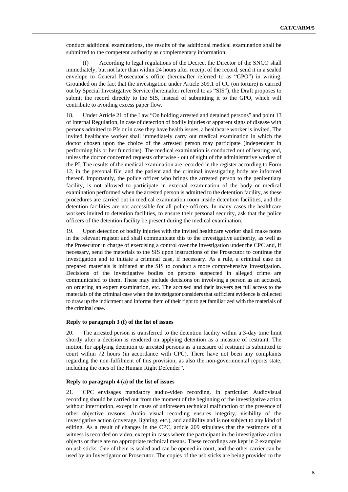conduct additional examinations, the results of the additional medical examination shall be submitted to the competent authority as complementary information;

(f) According to legal regulations of the Decree, the Director of the SNCO shall immediately, but not later than within 24 hours after receipt of the record, send it in a sealed envelope to General Prosecutor's office (hereinafter referred to as "GPO") in writing. Grounded on the fact that the investigation under Article 309.1 of CC (on torture) is carried out by Special Investigative Service (hereinafter referred to as "SIS"), the Draft proposes to submit the record directly to the SIS, instead of submitting it to the GPO, which will contribute to avoiding excess paper flow.

18. Under Article 21 of the Law "On holding arrested and detained persons" and point 13 of Internal Regulation, in case of detection of bodily injuries or apparent signs of disease with persons admitted to PIs or in case they have health issues, a healthcare worker is invited. The invited healthcare worker shall immediately carry out medical examination in which the doctor chosen upon the choice of the arrested person may participate (independent in performing his or her functions). The medical examination is conducted out of hearing and, unless the doctor concerned requests otherwise - out of sight of the administrative worker of the PI. The results of the medical examination are recorded in the register according to Form 12, in the personal file, and the patient and the criminal investigating body are informed thereof. Importantly, the police officer who brings the arrested person to the penitentiary facility, is not allowed to participate in external examination of the body or medical examination performed when the arrested person is admitted to the detention facility, as these procedures are carried out in medical examination room inside detention facilities, and the detention facilities are not accessible for all police officers. In many cases the healthcare workers invited to detention facilities, to ensure their personal security, ask that the police officers of the detention facility be present during the medical examination.

19. Upon detection of bodily injuries with the invited healthcare worker shall make notes in the relevant register and shall communicate this to the investigative authority, as well as the Prosecutor in charge of exercising a control over the investigation under the CPC and, if necessary, send the materials to the SIS upon instructions of the Prosecutor to continue the investigation and to initiate a criminal case, if necessary. As a rule, a criminal case on prepared materials is initiated at the SIS to conduct a more comprehensive investigation. Decisions of the investigative bodies on persons suspected in alleged crime are communicated to them. These may include decisions on involving a person as an accused, on ordering an expert examination, etc. The accused and their lawyers get full access to the materials of the criminal case when the investigator considers that sufficient evidence is collected to draw up the indictment and informs them of their right to get familiarized with the materials of the criminal case.

#### **Reply to paragraph 3 (f) of the list of issues**

20. The arrested person is transferred to the detention facility within a 3-day time limit shortly after a decision is rendered on applying detention as a measure of restraint. The motion for applying detention to arrested persons as a measure of restraint is submitted to court within 72 hours (in accordance with CPC). There have not been any complaints regarding the non-fulfilment of this provision, as also the non-governmental reports state, including the ones of the Human Right Defender".

#### **Reply to paragraph 4 (a) of the list of issues**

21. CPC envisages mandatory audio-video recording. In particular: Audiovisual recording should be carried out from the moment of the beginning of the investigative action without interruption, except in cases of unforeseen technical malfunction or the presence of other objective reasons. Audio visual recording ensures integrity, visibility of the investigative action (coverage, lighting, etc.), and audibility and is not subject to any kind of editing. As a result of changes in the CPC, article 209 stipulates that the testimony of a witness is recorded on video, except in cases where the participant in the investigative action objects or there are no appropriate technical means. These recordings are kept in 2 examples on usb sticks. One of them is sealed and can be opened in court, and the other carrier can be used by an Investigator or Prosecutor. The copies of the usb sticks are being provided to the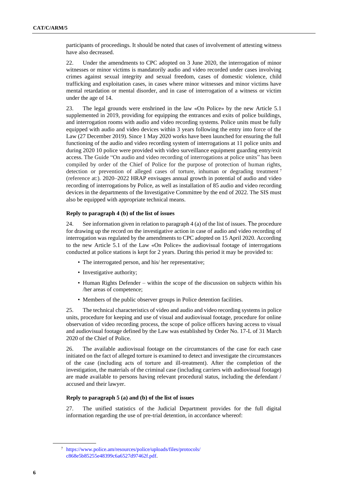participants of proceedings. It should be noted that cases of involvement of attesting witness have also decreased.

22. Under the amendments to CPC adopted on 3 June 2020, the interrogation of minor witnesses or minor victims is mandatorily audio and video recorded under cases involving crimes against sexual integrity and sexual freedom, cases of domestic violence, child trafficking and exploitation cases, in cases where minor witnesses and minor victims have mental retardation or mental disorder, and in case of interrogation of a witness or victim under the age of 14.

23. The legal grounds were enshrined in the law «On Police» by the new Article 5.1 supplemented in 2019, providing for equipping the entrances and exits of police buildings, and interrogation rooms with audio and video recording systems. Police units must be fully equipped with audio and video devices within 3 years following the entry into force of the Law (27 December 2019). Since 1 May 2020 works have been launched for ensuring the full functioning of the audio and video recording system of interrogations at 11 police units and during 2020 10 police were provided with video surveillance equipment guarding entry/exit access. The Guide "On audio and video recording of interrogations at police units" has been compiled by order of the Chief of Police for the purpose of protection of human rights, detection or prevention of alleged cases of torture, inhuman or degrading treatment <sup>7</sup> (reference at:). 2020–2022 HRAP envisages annual growth in potential of audio and video recording of interrogations by Police, as well as installation of 85 audio and video recording devices in the departments of the Investigative Committee by the end of 2022. The SIS must also be equipped with appropriate technical means.

#### **Reply to paragraph 4 (b) of the list of issues**

24. See information given in relation to paragraph 4 (a) of the list of issues. The procedure for drawing up the record on the investigative action in case of audio and video recording of interrogation was regulated by the amendments to CPC adopted on 15 April 2020. According to the new Article 5.1 of the Law «On Police» the audiovisual footage of interrogations conducted at police stations is kept for 2 years. During this period it may be provided to:

- The interrogated person, and his/ her representative;
- Investigative authority;
- Human Rights Defender within the scope of the discussion on subjects within his /her areas of competence;
- Members of the public observer groups in Police detention facilities.

25. The technical characteristics of video and audio and video recording systems in police units, procedure for keeping and use of visual and audiovisual footage, procedure for online observation of video recording process, the scope of police officers having access to visual and audiovisual footage defined by the Law was established by Order No. 17-L of 31 March 2020 of the Chief of Police.

26. The available audiovisual footage on the circumstances of the case for each case initiated on the fact of alleged torture is examined to detect and investigate the circumstances of the case (including acts of torture and ill-treatment). After the completion of the investigation, the materials of the criminal case (including carriers with audiovisual footage) are made available to persons having relevant procedural status, including the defendant / accused and their lawyer.

## **Reply to paragraph 5 (a) and (b) of the list of issues**

27. The unified statistics of the Judicial Department provides for the full digital information regarding the use of pre-trial detention, in accordance whereof:

<sup>7</sup> [https://www.police.am/resources/police/uploads/files/protocols/](https://www.police.am/resources/police/uploads/files/protocols/c868e5b85255e48399c6a6527d97462f.pdf) [c868e5b85255e48399c6a6527d97462f.pdf.](https://www.police.am/resources/police/uploads/files/protocols/c868e5b85255e48399c6a6527d97462f.pdf)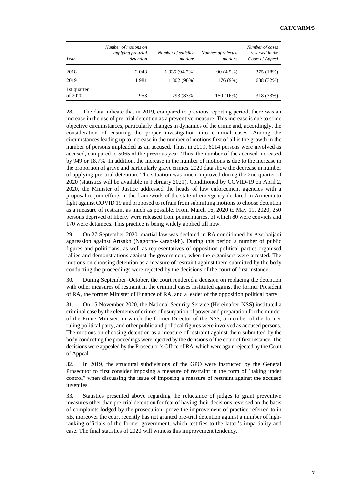|                        | Number of motions on<br>applying pre-trial | Number of satisfied | Number of rejected | Number of cases<br>reversed in the |
|------------------------|--------------------------------------------|---------------------|--------------------|------------------------------------|
| Year                   | detention                                  | motions             | motions            | Court of Appeal                    |
| 2018                   | 2 0 4 3                                    | 1 935 (94.7%)       | 90(4.5%)           | 375 (18%)                          |
| 2019                   | 1981                                       | 1 802 (90%)         | 176 (9%)           | 638 (32%)                          |
| 1st quarter<br>of 2020 | 953                                        | 793 (83%)           | 150 (16%)          | 318 (33%)                          |

28. The data indicate that in 2019, compared to previous reporting period, there was an increase in the use of pre-trial detention as a preventive measure. This increase is due to some objective circumstances, particularly changes in dynamics of the crime and, accordingly, the consideration of ensuring the proper investigation into criminal cases. Among the circumstances leading up to increase in the number of motions first of all is the growth in the number of persons impleaded as an accused. Thus, in 2019, 6014 persons were involved as accused, compared to 5065 of the previous year. Thus, the number of the accused increased by 949 or 18.7%. In addition, the increase in the number of motions is due to the increase in the proportion of grave and particularly grave crimes. 2020 data show the decrease in number of applying pre-trial detention. The situation was much improved during the 2nd quarter of 2020 (statistics will be available in February 2021). Conditioned by COVID-19 on April 2, 2020, the Minister of Justice addressed the heads of law enforcement agencies with a proposal to join efforts in the framework of the state of emergency declared in Armenia to fight against COVID 19 and proposed to refrain from submitting motions to choose detention as a measure of restraint as much as possible. From March 16, 2020 to May 11, 2020, 250 persons deprived of liberty were released from penitentiaries, of which 80 were convicts and 170 were detainees. This practice is being widely applied till now.

29. On 27 September 2020, martial law was declared in RA conditioned by Azerbaijani aggression against Artsakh (Nagorno-Karabakh). During this period a number of public figures and politicians, as well as representatives of opposition political parties organised rallies and demonstrations against the government, when the organisers were arrested. The motions on choosing detention as a measure of restraint against them submitted by the body conducting the proceedings were rejected by the decisions of the court of first instance.

30. During September–October, the court rendered a decision on replacing the detention with other measures of restraint in the criminal cases instituted against the former President of RA, the former Minister of Finance of RA, and a leader of the opposition political party.

31. On 15 November 2020, the National Security Service (Hereinafter-NSS) instituted a criminal case by the elements of crimes of usurpation of power and preparation for the murder of the Prime Minister, in which the former Director of the NSS, a member of the former ruling political party, and other public and political figures were involved as accused persons. The motions on choosing detention as a measure of restraint against them submitted by the body conducting the proceedings were rejected by the decisions of the court of first instance. The decisions were appealed by the Prosecutor's Office of RA, which were again rejected by the Court of Appeal.

32. In 2019, the structural subdivisions of the GPO were instructed by the General Prosecutor to first consider imposing a measure of restraint in the form of "taking under control" when discussing the issue of imposing a measure of restraint against the accused juveniles.

33. Statistics presented above regarding the reluctance of judges to grant preventive measures other than pre-trial detention for fear of having their decisions reversed on the basis of complaints lodged by the prosecution, prove the improvement of practice referred to in 5B, moreover the court recently has not granted pre-trial detention against a number of highranking officials of the former government, which testifies to the latter's impartiality and ease. The final statistics of 2020 will witness this improvement tendency.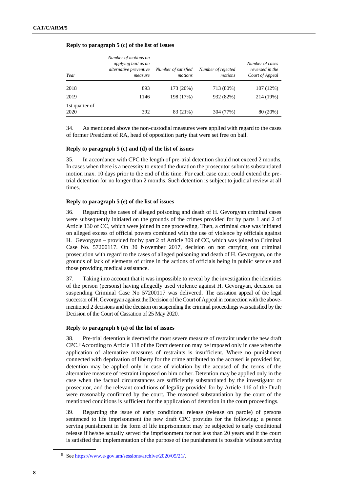| Year                   | Number of motions on<br>applying bail as an<br>alternative preventive<br>measure | Number of satisfied<br>motions | Number of rejected<br>motions | Number of cases<br>reversed in the<br>Court of Appeal |
|------------------------|----------------------------------------------------------------------------------|--------------------------------|-------------------------------|-------------------------------------------------------|
| 2018                   | 893                                                                              | 173 (20%)                      | 713 (80%)                     | 107 (12%)                                             |
| 2019                   | 1146                                                                             | 198 (17%)                      | 932 (82%)                     | 214 (19%)                                             |
| 1st quarter of<br>2020 | 392                                                                              | 83 (21%)                       | 304 (77%)                     | 80 (20%)                                              |

#### **Reply to paragraph 5 (c) of the list of issues**

34. As mentioned above the non-custodial measures were applied with regard to the cases of former President of RA, head of opposition party that were set free on bail.

#### **Reply to paragraph 5 (c) and (d) of the list of issues**

35. In accordance with CPC the length of pre-trial detention should not exceed 2 months. In cases when there is a necessity to extend the duration the prosecutor submits substantiated motion max. 10 days prior to the end of this time. For each case court could extend the pretrial detention for no longer than 2 months. Such detention is subject to judicial review at all times.

#### **Reply to paragraph 5 (e) of the list of issues**

36. Regarding the cases of alleged poisoning and death of H. Gevorgyan criminal cases were subsequently initiated on the grounds of the crimes provided for by parts 1 and 2 of Article 130 of CC, which were joined in one proceeding. Then, a criminal case was initiated on alleged excess of official powers combined with the use of violence by officials against H. Gevorgyan – provided for by part 2 of Article 309 of CC, which was joined to Criminal Case No. 57200117. On 30 November 2017, decision on not carrying out criminal prosecution with regard to the cases of alleged poisoning and death of H. Gevorgyan, on the grounds of lack of elements of crime in the actions of officials being in public service and those providing medical assistance.

37. Taking into account that it was impossible to reveal by the investigation the identities of the person (persons) having allegedly used violence against H. Gevorgyan, decision on suspending Criminal Case No 57200117 was delivered. The cassation appeal of the legal successor of H. Gevorgyan against the Decision of the Court of Appeal in connection with the abovementioned 2 decisions and the decision on suspending the criminal proceedings was satisfied by the Decision of the Court of Cassation of 25 May 2020.

#### **Reply to paragraph 6 (a) of the list of issues**

38. Pre-trial detention is deemed the most severe measure of restraint under the new draft CPC. <sup>8</sup> According to Article 118 of the Draft detention may be imposed only in case when the application of alternative measures of restraints is insufficient. Where no punishment connected with deprivation of liberty for the crime attributed to the accused is provided for, detention may be applied only in case of violation by the accused of the terms of the alternative measure of restraint imposed on him or her. Detention may be applied only in the case when the factual circumstances are sufficiently substantiated by the investigator or prosecutor, and the relevant conditions of legality provided for by Article 116 of the Draft were reasonably confirmed by the court. The reasoned substantiation by the court of the mentioned conditions is sufficient for the application of detention in the court proceedings.

39. Regarding the issue of early conditional release (release on parole) of persons sentenced to life imprisonment the new draft CPC provides for the following: a person serving punishment in the form of life imprisonment may be subjected to early conditional release if he/she actually served the imprisonment for not less than 20 years and if the court is satisfied that implementation of the purpose of the punishment is possible without serving

<sup>8</sup> Se[e https://www.e-gov.am/sessions/archive/2020/05/21/.](https://www.e-gov.am/sessions/archive/2020/05/21/)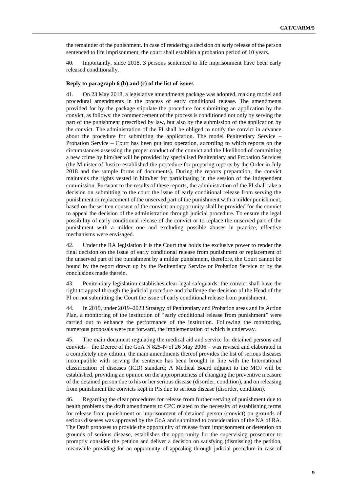the remainder of the punishment. In case of rendering a decision on early release of the person sentenced to life imprisonment, the court shall establish a probation period of 10 years.

40. Importantly, since 2018, 3 persons sentenced to life imprisonment have been early released conditionally.

#### **Reply to paragraph 6 (b) and (c) of the list of issues**

41. On 23 May 2018, a legislative amendments package was adopted, making model and procedural amendments in the process of early conditional release. The amendments provided for by the package stipulate the procedure for submitting an application by the convict, as follows: the commencement of the process is conditioned not only by serving the part of the punishment prescribed by law, but also by the submission of the application by the convict. The administration of the PI shall be obliged to notify the convict in advance about the procedure for submitting the application. The model Penitentiary Service – Probation Service – Court has been put into operation, according to which reports on the circumstances assessing the proper conduct of the convict and the likelihood of committing a new crime by him/her will be provided by specialised Penitentiary and Probation Services (the Minister of Justice established the procedure for preparing reports by the Order in July 2018 and the sample forms of documents). During the reports preparation, the convict maintains the rights vested in him/her for participating in the session of the independent commission. Pursuant to the results of these reports, the administration of the PI shall take a decision on submitting to the court the issue of early conditional release from serving the punishment or replacement of the unserved part of the punishment with a milder punishment, based on the written consent of the convict: an opportunity shall be provided for the convict to appeal the decision of the administration through judicial procedure. To ensure the legal possibility of early conditional release of the convict or to replace the unserved part of the punishment with a milder one and excluding possible abuses in practice, effective mechanisms were envisaged.

42. Under the RA legislation it is the Court that holds the exclusive power to render the final decision on the issue of early conditional release from punishment or replacement of the unserved part of the punishment by a milder punishment, therefore, the Court cannot be bound by the report drawn up by the Penitentiary Service or Probation Service or by the conclusions made therein.

43. Penitentiary legislation establishes clear legal safeguards: the convict shall have the right to appeal through the judicial procedure and challenge the decision of the Head of the PI on not submitting the Court the issue of early conditional release from punishment.

44. In 2019, under 2019–2023 Strategy of Penitentiary and Probation areas and its Action Plan, a monitoring of the institution of "early conditional release from punishment" were carried out to enhance the performance of the institution. Following the monitoring, numerous proposals were put forward, the implementation of which is underway.

45. The main document regulating the medical aid and service for detained persons and convicts – the Decree of the GoA N 825-N of 26 May 2006 – was revised and elaborated in a completely new edition, the main amendments thereof provides the list of serious diseases incompatible with serving the sentence has been brought in line with the International classification of diseases (ICD) standard; A Medical Board adjunct to the MOJ will be established, providing an opinion on the appropriateness of changing the preventive measure of the detained person due to his or her serious disease (disorder, condition), and on releasing from punishment the convicts kept in PIs due to serious disease (disorder, condition).

46. Regarding the clear procedures for release from further serving of punishment due to health problems the draft amendments to CPC related to the necessity of establishing terms for release from punishment or imprisonment of detained person (convict) on grounds of serious diseases was approved by the GoA and submitted to consideration of the NA of RA. The Draft proposes to provide the opportunity of release from imprisonment or detention on grounds of serious disease, establishes the opportunity for the supervising prosecutor to promptly consider the petition and deliver a decision on satisfying (dismissing) the petition, meanwhile providing for an opportunity of appealing through judicial procedure in case of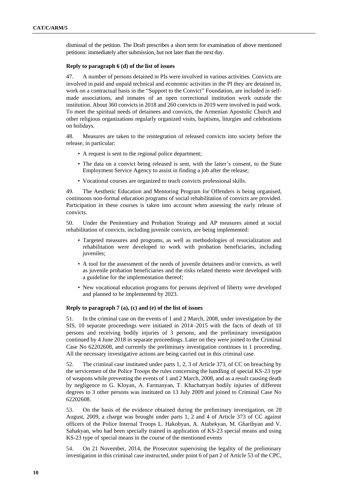dismissal of the petition. The Draft prescribes a short term for examination of above mentioned petitions: immediately after submission, but not later than the next day.

#### **Reply to paragraph 6 (d) of the list of issues**

47. A number of persons detained in PIs were involved in various activities. Convicts are involved in paid and unpaid technical and economic activities in the PI they are detained in, work on a contractual basis in the "Support to the Convict" Foundation, are included in selfmade associations, and inmates of an open correctional institution work outside the institution. About 360 convicts in 2018 and 260 convicts in 2019 were involved in paid work. To meet the spiritual needs of detainees and convicts, the Armenian Apostolic Church and other religious organizations regularly organized visits, baptisms, liturgies and celebrations on holidays.

48. Measures are taken to the reintegration of released convicts into society before the release, in particular:

- A request is sent to the regional police department;
- The data on a convict being released is sent, with the latter's consent, to the State Employment Service Agency to assist in finding a job after the release;
- Vocational courses are organized to teach convicts professional skills.

49. The Aesthetic Education and Mentoring Program for Offenders is being organised, continuous non-formal education programs of social rehabilitation of convicts are provided. Participation in these courses is taken into account when assessing the early release of convicts.

50. Under the Penitentiary and Probation Strategy and AP measures aimed at social rehabilitation of convicts, including juvenile convicts, are being implemented:

- Targeted measures and programs, as well as methodologies of resocialization and rehabilitation were developed to work with probation beneficiaries, including juveniles;
- A tool for the assessment of the needs of juvenile detainees and/or convicts, as well as juvenile probation beneficiaries and the risks related thereto were developed with a guideline for the implementation thereof;
- New vocational education programs for persons deprived of liberty were developed and planned to be implemented by 2023.

#### **Reply to paragraph 7 (a), (c) and (e) of the list of issues**

51. In the criminal case on the events of 1 and 2 March, 2008, under investigation by the SIS, 10 separate proceedings were initiated in 2014–2015 with the facts of death of 10 persons and receiving bodily injuries of 3 persons, and the preliminary investigation continued by 4 June 2018 in separate proceedings. Later on they were joined to the Criminal Case No 62202608, and currently the preliminary investigation continues in 1 proceeding. All the necessary investigative actions are being carried out in this criminal case.

52. The criminal case instituted under parts 1, 2, 3 of Article 373, of CC on breaching by the servicemen of the Police Troops the rules concerning the handling of special KS-23 type of weapons while preventing the events of 1 and 2 March, 2008, and as a result causing death by negligence to G. Kloyan, A. Farmanyan, T. Khachatryan bodily injuries of different degrees to 3 other persons was instituted on 13 July 2009 and joined to Criminal Case No 62202608.

53. On the basis of the evidence obtained during the preliminary investigation, on 28 August, 2009, a charge was brought under parts 1, 2 and 4 of Article 373 of CC against officers of the Police Internal Troops L. Hakobyan, A. Atabekyan, M. Gharibyan and V. Sahakyan, who had been specially trained in application of KS-23 special means and using KS-23 type of special means in the course of the mentioned events

54. On 21 November, 2014, the Prosecutor supervising the legality of the preliminary investigation in this criminal case instructed, under point 6 of part 2 of Article 53 of the CPC,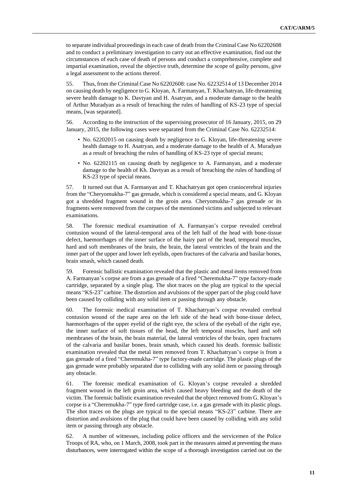to separate individual proceedings in each case of death from the Criminal Case No 62202608 and to conduct a preliminary investigation to carry out an effective examination, find out the circumstances of each case of death of persons and conduct a comprehensive, complete and impartial examination, reveal the objective truth, determine the scope of guilty persons, give a legal assessment to the actions thereof.

55. Thus, from the Criminal Case No 62202608: case No. 62232514 of 13 December 2014 on causing death by negligence to G. Kloyan, A. Farmanyan, T. Khachatryan, life-threatening severe health damage to K. Davtyan and H. Asatryan, and a moderate damage to the health of Arthur Muradyan as a result of breaching the rules of handling of KS-23 type of special means, [was separated].

56. According to the instruction of the supervising prosecutor of 16 January, 2015, on 29 January, 2015, the following cases were separated from the Criminal Case No. 62232514:

- No. 62202015 on causing death by negligence to G. Kloyan, life-threatening severe health damage to H. Asatryan, and a moderate damage to the health of A. Muradyan as a result of breaching the rules of handling of KS-23 type of special means;
- No. 62202115 on causing death by negligence to A. Farmanyan, and a moderate damage to the health of Kh. Davtyan as a result of breaching the rules of handling of KS-23 type of special means.

57. It turned out that A. Farmanyan and T. Khachatryan got open craniocerebral injuries from the "Cheryomukha-7" gas grenade, which is considered a special means, and G. Kloyan got a shredded fragment wound in the groin area. Cheryomukha-7 gas grenade or its fragments were removed from the corpses of the mentioned victims and subjected to relevant examinations.

58. The forensic medical examination of A. Farmanyan's corpse revealed cerebral contusion wound of the lateral-temporal area of the left half of the head with bone-tissue defect, haemorrhages of the inner surface of the hairy part of the head, temporal muscles, hard and soft membranes of the brain, the brain, the lateral ventricles of the brain and the inner part of the upper and lower left eyelids, open fractures of the calvaria and basilar bones, brain smash, which caused death.

59. Forensic ballistic examination revealed that the plastic and metal items removed from A. Farmanyan's corpse are from a gas grenade of a fired "Cheremukha-7" type factory-made cartridge, separated by a single plug. The shot traces on the plug are typical to the special means "KS-23" carbine. The distortion and avulsions of the upper part of the plug could have been caused by colliding with any solid item or passing through any obstacle.

60. The forensic medical examination of T. Khachatryan's corpse revealed cerebral contusion wound of the nape area on the left side of the head with bone-tissue defect, haemorrhages of the upper eyelid of the right eye, the sclera of the eyeball of the right eye, the inner surface of soft tissues of the head, the left temporal muscles, hard and soft membranes of the brain, the brain material, the lateral ventricles of the brain, open fractures of the calvaria and basilar bones, brain smash, which caused his death. forensic ballistic examination revealed that the metal item removed from T. Khachatryan's corpse is from a gas grenade of a fired "Cheremukha-7" type factory-made cartridge. The plastic plugs of the gas grenade were probably separated due to colliding with any solid item or passing through any obstacle.

61. The forensic medical examination of G. Kloyan's corpse revealed a shredded fragment wound in the left groin area, which caused heavy bleeding and the death of the victim. The forensic ballistic examination revealed that the object removed from G. Kloyan's corpse is a "Cheremukha-7" type fired cartridge case, i.e. a gas grenade with its plastic plugs. The shot traces on the plugs are typical to the special means "KS-23" carbine. There are distortion and avulsions of the plug that could have been caused by colliding with any solid item or passing through any obstacle.

62. A number of witnesses, including police officers and the servicemen of the Police Troops of RA, who, on 1 March, 2008, took part in the measures aimed at preventing the mass disturbances, were interrogated within the scope of a thorough investigation carried out on the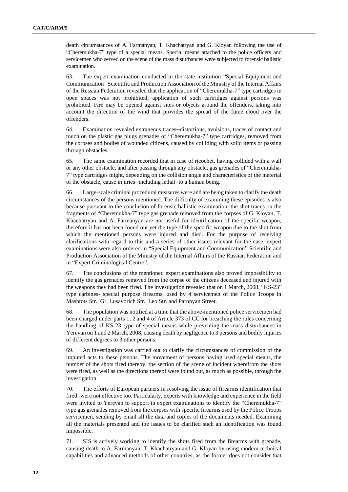death circumstances of A. Farmanyan, T. Khachatryan and G. Kloyan following the use of "Cheremukha-7" type of a special means. Special means attached to the police officers and servicemen who served on the scene of the mass disturbances were subjected to forensic ballistic examination.

63. The expert examination conducted in the state institution "Special Equipment and Communication" Scientific and Production Association of the Ministry of the Internal Affairs of the Russian Federation revealed that the application of "Cheremukha-7" type cartridges in open spaces was not prohibited; application of such cartridges against persons was prohibited. Fire may be opened against sites or objects around the offenders, taking into account the direction of the wind that provides the spread of the fume cloud over the offenders.

64. Examination revealed extraneous traces—distortions, avulsions, traces of contact and touch on the plastic gas plugs grenades of "Cheremukha-7" type cartridges, removed from the corpses and bodies of wounded citizens, caused by colliding with solid items or passing through obstacles.

65. The same examination recorded that in case of ricochet, having collided with a wall or any other obstacle, and after passing through any obstacle, gas grenades of "Cheremukha-7" type cartridges might, depending on the collision angle and characteristics of the material of the obstacle, cause injuries—including lethal—to a human being.

66. Large-scale criminal procedural measures were and are being taken to clarify the death circumstances of the persons mentioned. The difficulty of examining these episodes is also because pursuant to the conclusion of forensic ballistic examination, the shot traces on the fragments of "Cheremukha-7" type gas grenade removed from the corpses of G. Kloyan, T. Khachatryan and A. Farmanyan are not useful for identification of the specific weapon, therefore it has not been found out yet the type of the specific weapon due to the shot from which the mentioned persons were injured and died. For the purpose of receiving clarifications with regard to this and a series of other issues relevant for the case, expert examinations were also ordered in "Special Equipment and Communication" Scientific and Production Association of the Ministry of the Internal Affairs of the Russian Federation and in "Expert Criminological Centre".

67. The conclusions of the mentioned expert examinations also proved impossibility to identify the gas grenades removed from the corpse of the citizens deceased and injured with the weapons they had been fired. The investigation revealed that on 1 March, 2008, "KS-23" type carbines- special purpose firearms, used by 4 servicemen of the Police Troops in Mashtots Str., Gr. Lusavorich Str., Leo Str. and Paronyan Street.

68. The population was notified at a time that the above-mentioned police servicemen had been charged under parts 1, 2 and 4 of Article 373 of CC for breaching the rules concerning the handling of KS-23 type of special means while preventing the mass disturbances in Yerevan on 1 and 2 March, 2008, causing death by negligence to 3 persons and bodily injuries of different degrees to 3 other persons.

69. An investigation was carried out to clarify the circumstances of commission of the imputed acts to these persons. The movement of persons having used special means, the number of the shots fired thereby, the section of the scene of incident wherefrom the shots were fired, as well as the directions thereof were found out, as much as possible, through the investigation.

70. The efforts of European partners in resolving the issue of firearms identification that fired -were not effective too. Particularly, experts with knowledge and experience in the field were invited to Yerevan to support in expert examinations to identify the "Cheremukha-7" type gas grenades removed from the corpses with specific firearms used by the Police Troops servicemen, sending by email all the data and copies of the documents needed. Examining all the materials presented and the issues to be clarified such an identification was found impossible.

71. SIS is actively working to identify the shots fired from the firearms with grenade, causing death to A. Farmanyan, T. Khachatryan and G. Kloyan by using modern technical capabilities and advanced methods of other countries, as the former does not consider that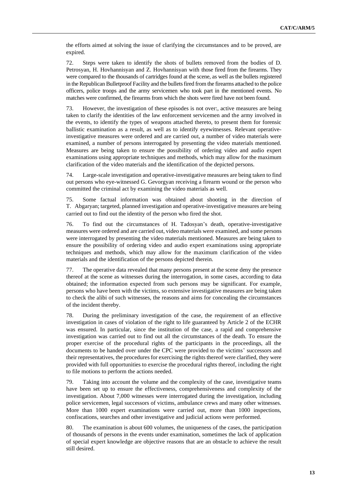the efforts aimed at solving the issue of clarifying the circumstances and to be proved, are expired.

72. Steps were taken to identify the shots of bullets removed from the bodies of D. Petrosyan, H. Hovhannisyan and Z. Hovhannisyan with those fired from the firearms. They were compared to the thousands of cartridges found at the scene, as well as the bullets registered in the Republican Bulletproof Facility and the bullets fired from the firearms attached to the police officers, police troops and the army servicemen who took part in the mentioned events. No matches were confirmed, the firearms from which the shots were fired have not been found.

73. However, the investigation of these episodes is not over:, active measures are being taken to clarify the identities of the law enforcement servicemen and the army involved in the events, to identify the types of weapons attached thereto, to present them for forensic ballistic examination as a result, as well as to identify eyewitnesses. Relevant operativeinvestigative measures were ordered and are carried out, a number of video materials were examined, a number of persons interrogated by presenting the video materials mentioned. Measures are being taken to ensure the possibility of ordering video and audio expert examinations using appropriate techniques and methods, which may allow for the maximum clarification of the video materials and the identification of the depicted persons.

74. Large-scale investigation and operative-investigative measures are being taken to find out persons who eye-witnessed G. Gevorgyan receiving a firearm wound or the person who committed the criminal act by examining the video materials as well.

75. Some factual information was obtained about shooting in the direction of T. Abgaryan; targeted, planned investigation and operative-investigative measures are being carried out to find out the identity of the person who fired the shot.

76. To find out the circumstances of H. Tadosyan's death, operative-investigative measures were ordered and are carried out, video materials were examined, and some persons were interrogated by presenting the video materials mentioned. Measures are being taken to ensure the possibility of ordering video and audio expert examinations using appropriate techniques and methods, which may allow for the maximum clarification of the video materials and the identification of the persons depicted therein.

77. The operative data revealed that many persons present at the scene deny the presence thereof at the scene as witnesses during the interrogation, in some cases, according to data obtained; the information expected from such persons may be significant. For example, persons who have been with the victims, so extensive investigative measures are being taken to check the alibi of such witnesses, the reasons and aims for concealing the circumstances of the incident thereby.

78. During the preliminary investigation of the case, the requirement of an effective investigation in cases of violation of the right to life guaranteed by Article 2 of the ECHR was ensured. In particular, since the institution of the case, a rapid and comprehensive investigation was carried out to find out all the circumstances of the death. To ensure the proper exercise of the procedural rights of the participants in the proceedings, all the documents to be handed over under the CPC were provided to the victims' successors and their representatives, the procedures for exercising the rights thereof were clarified, they were provided with full opportunities to exercise the procedural rights thereof, including the right to file motions to perform the actions needed.

79. Taking into account the volume and the complexity of the case, investigative teams have been set up to ensure the effectiveness, comprehensiveness and complexity of the investigation. About 7,000 witnesses were interrogated during the investigation, including police servicemen, legal successors of victims, ambulance crews and many other witnesses. More than 1000 expert examinations were carried out, more than 1000 inspections, confiscations, searches and other investigative and judicial actions were performed.

80. The examination is about 600 volumes, the uniqueness of the cases, the participation of thousands of persons in the events under examination, sometimes the lack of application of special expert knowledge are objective reasons that are an obstacle to achieve the result still desired.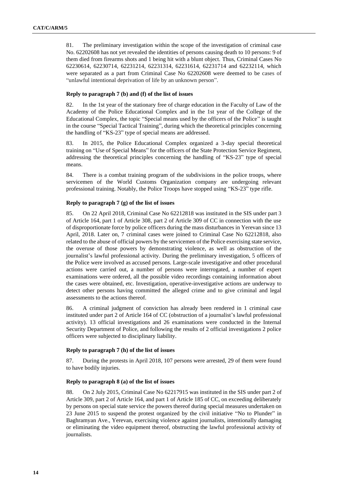81. The preliminary investigation within the scope of the investigation of criminal case No. 62202608 has not yet revealed the identities of persons causing death to 10 persons: 9 of them died from firearms shots and 1 being hit with a blunt object. Thus, Criminal Cases No 62230614, 62230714, 62231214, 62231314, 62231614, 62231714 and 62232114, which were separated as a part from Criminal Case No 62202608 were deemed to be cases of "unlawful intentional deprivation of life by an unknown person".

## **Reply to paragraph 7 (b) and (f) of the list of issues**

82. In the 1st year of the stationary free of charge education in the Faculty of Law of the Academy of the Police Educational Complex and in the 1st year of the College of the Educational Complex, the topic "Special means used by the officers of the Police" is taught in the course "Special Tactical Training", during which the theoretical principles concerning the handling of "KS-23" type of special means are addressed.

83. In 2015, the Police Educational Complex organized a 3-day special theoretical training on "Use of Special Means" for the officers of the State Protection Service Regiment, addressing the theoretical principles concerning the handling of "KS-23" type of special means.

84. There is a combat training program of the subdivisions in the police troops, where servicemen of the World Customs Organization company are undergoing relevant professional training. Notably, the Police Troops have stopped using "KS-23" type rifle.

## **Reply to paragraph 7 (g) of the list of issues**

85. On 22 April 2018, Criminal Case No 62212818 was instituted in the SIS under part 3 of Article 164, part 1 of Article 308, part 2 of Article 309 of CC in connection with the use of disproportionate force by police officers during the mass disturbances in Yerevan since 13 April, 2018. Later on, 7 criminal cases were joined to Criminal Case No 62212818, also related to the abuse of official powers by the servicemen of the Police exercising state service, the overuse of those powers by demonstrating violence, as well as obstruction of the journalist's lawful professional activity. During the preliminary investigation, 5 officers of the Police were involved as accused persons. Large-scale investigative and other procedural actions were carried out, a number of persons were interrogated, a number of expert examinations were ordered, all the possible video recordings containing information about the cases were obtained, etc. Investigation, operative-investigative actions are underway to detect other persons having committed the alleged crime and to give criminal and legal assessments to the actions thereof.

86. A criminal judgment of conviction has already been rendered in 1 criminal case instituted under part 2 of Article 164 of CC (obstruction of a journalist's lawful professional activity). 13 official investigations and 26 examinations were conducted in the Internal Security Department of Police, and following the results of 2 official investigations 2 police officers were subjected to disciplinary liability.

#### **Reply to paragraph 7 (h) of the list of issues**

87. During the protests in April 2018, 107 persons were arrested, 29 of them were found to have bodily injuries.

#### **Reply to paragraph 8 (a) of the list of issues**

88. On 2 July 2015, Criminal Case No 62217915 was instituted in the SIS under part 2 of Article 309, part 2 of Article 164, and part 1 of Article 185 of CC, on exceeding deliberately by persons on special state service the powers thereof during special measures undertaken on 23 June 2015 to suspend the protest organized by the civil initiative "No to Plunder" in Baghramyan Ave., Yerevan, exercising violence against journalists, intentionally damaging or eliminating the video equipment thereof, obstructing the lawful professional activity of journalists.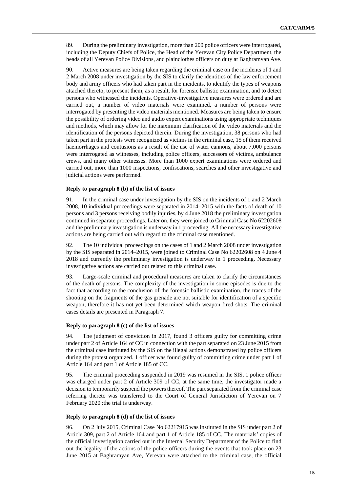89. During the preliminary investigation, more than 200 police officers were interrogated, including the Deputy Chiefs of Police, the Head of the Yerevan City Police Department, the heads of all Yerevan Police Divisions, and plainclothes officers on duty at Baghramyan Ave.

90. Active measures are being taken regarding the criminal case on the incidents of 1 and 2 March 2008 under investigation by the SIS to clarify the identities of the law enforcement body and army officers who had taken part in the incidents, to identify the types of weapons attached thereto, to present them, as a result, for forensic ballistic examination, and to detect persons who witnessed the incidents. Operative-investigative measures were ordered and are carried out, a number of video materials were examined, a number of persons were interrogated by presenting the video materials mentioned. Measures are being taken to ensure the possibility of ordering video and audio expert examinations using appropriate techniques and methods, which may allow for the maximum clarification of the video materials and the identification of the persons depicted therein. During the investigation, 38 persons who had taken part in the protests were recognized as victims in the criminal case, 15 of them received haemorrhages and contusions as a result of the use of water cannons, about 7,000 persons were interrogated as witnesses, including police officers, successors of victims, ambulance crews, and many other witnesses. More than 1000 expert examinations were ordered and carried out, more than 1000 inspections, confiscations, searches and other investigative and judicial actions were performed.

## **Reply to paragraph 8 (b) of the list of issues**

91. In the criminal case under investigation by the SIS on the incidents of 1 and 2 March 2008, 10 individual proceedings were separated in 2014–2015 with the facts of death of 10 persons and 3 persons receiving bodily injuries, by 4 June 2018 the preliminary investigation continued in separate proceedings. Later on, they were joined to Criminal Case No 62202608 and the preliminary investigation is underway in 1 proceeding. All the necessary investigative actions are being carried out with regard to the criminal case mentioned.

92. The 10 individual proceedings on the cases of 1 and 2 March 2008 under investigation by the SIS separated in 2014–2015, were joined to Criminal Case No 62202608 on 4 June 4 2018 and currently the preliminary investigation is underway in 1 proceeding. Necessary investigative actions are carried out related to this criminal case.

93. Large-scale criminal and procedural measures are taken to clarify the circumstances of the death of persons. The complexity of the investigation in some episodes is due to the fact that according to the conclusion of the forensic ballistic examination, the traces of the shooting on the fragments of the gas grenade are not suitable for identification of a specific weapon, therefore it has not yet been determined which weapon fired shots. The criminal cases details are presented in Paragraph 7.

#### **Reply to paragraph 8 (c) of the list of issues**

94. The judgment of conviction in 2017, found 3 officers guilty for committing crime under part 2 of Article 164 of CC in connection with the part separated on 23 June 2015 from the criminal case instituted by the SIS on the illegal actions demonstrated by police officers during the protest organized. 1 officer was found guilty of committing crime under part 1 of Article 164 and part 1 of Article 185 of CC.

95. The criminal proceeding suspended in 2019 was resumed in the SIS, 1 police officer was charged under part 2 of Article 309 of CC, at the same time, the investigator made a decision to temporarily suspend the powers thereof. The part separated from the criminal case referring thereto was transferred to the Court of General Jurisdiction of Yerevan on 7 February 2020 :the trial is underway.

#### **Reply to paragraph 8 (d) of the list of issues**

96. On 2 July 2015, Criminal Case No 62217915 was instituted in the SIS under part 2 of Article 309, part 2 of Article 164 and part 1 of Article 185 of CC. The materials' copies of the official investigation carried out in the Internal Security Department of the Police to find out the legality of the actions of the police officers during the events that took place on 23 June 2015 at Baghramyan Ave, Yerevan were attached to the criminal case, the official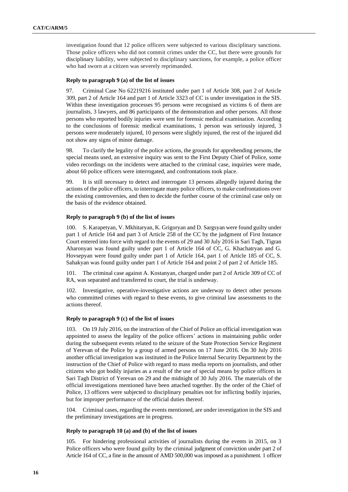investigation found that 12 police officers were subjected to various disciplinary sanctions. Those police officers who did not commit crimes under the CC, but there were grounds for disciplinary liability, were subjected to disciplinary sanctions, for example, a police officer who had sworn at a citizen was severely reprimanded.

## **Reply to paragraph 9 (a) of the list of issues**

97. Criminal Case No 62219216 instituted under part 1 of Article 308, part 2 of Article 309, part 2 of Article 164 and part 1 of Article 3323 of CC is under investigation in the SIS. Within these investigation processes 95 persons were recognised as victims 6 of them are journalists, 3 lawyers, and 86 participants of the demonstration and other persons. All those persons who reported bodily injuries were sent for forensic medical examination. According to the conclusions of forensic medical examinations, 1 person was seriously injured, 3 persons were moderately injured, 10 persons were slightly injured, the rest of the injured did not show any signs of minor damage.

98. To clarify the legality of the police actions, the grounds for apprehending persons, the special means used, an extensive inquiry was sent to the First Deputy Chief of Police, some video recordings on the incidents were attached to the criminal case, inquiries were made, about 60 police officers were interrogated, and confrontations took place.

99. It is still necessary to detect and interrogate 13 persons allegedly injured during the actions of the police officers, to interrogate many police officers, to make confrontations over the existing controversies, and then to decide the further course of the criminal case only on the basis of the evidence obtained.

## **Reply to paragraph 9 (b) of the list of issues**

100. S. Karapetyan, V. Mkhitaryan, K. Grigoryan and D. Sargsyan were found guilty under part 1 of Article 164 and part 3 of Article 258 of the CC by the judgment of First Instance Court entered into force with regard to the events of 29 and 30 July 2016 in Sari Tagh, Tigran Aharonyan was found guilty under part 1 of Article 164 of CC, G. Khachatryan and G. Hovsepyan were found guilty under part 1 of Article 164, part 1 of Article 185 of CC, S. Sahakyan was found guilty under part 1 of Article 164 and point 2 of part 2 of Article 185.

101. The criminal case against A. Kostanyan, charged under part 2 of Article 309 of CC of RA, was separated and transferred to court, the trial is underway.

102. Investigative, operative-investigative actions are underway to detect other persons who committed crimes with regard to these events, to give criminal law assessments to the actions thereof.

## **Reply to paragraph 9 (c) of the list of issues**

103. On 19 July 2016, on the instruction of the Chief of Police an official investigation was appointed to assess the legality of the police officers' actions in maintaining public order during the subsequent events related to the seizure of the State Protection Service Regiment of Yerevan of the Police by a group of armed persons on 17 June 2016. On 30 July 2016 another official investigation was instituted in the Police Internal Security Department by the instruction of the Chief of Police with regard to mass media reports on journalists, and other citizens who got bodily injuries as a result of the use of special means by police officers in Sari Tagh District of Yerevan on 29 and the midnight of 30 July 2016. The materials of the official investigations mentioned have been attached together. By the order of the Chief of Police, 13 officers were subjected to disciplinary penalties not for inflicting bodily injuries, but for improper performance of the official duties thereof.

104. Criminal cases, regarding the events mentioned, are under investigation in the SIS and the preliminary investigations are in progress.

#### **Reply to paragraph 10 (a) and (b) of the list of issues**

105. For hindering professional activities of journalists during the events in 2015, on 3 Police officers who were found guilty by the criminal judgment of conviction under part 2 of Article 164 of CC, a fine in the amount of AMD 500,000 was imposed as a punishment. 1 officer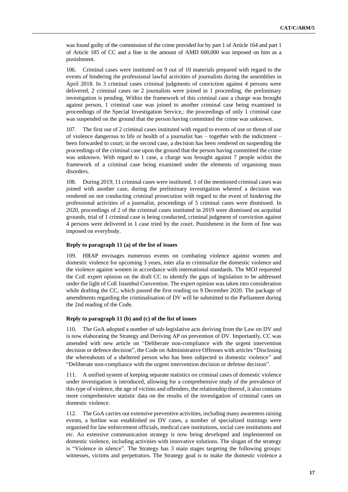was found guilty of the commission of the crime provided for by part 1 of Article 164 and part 1 of Article 185 of CC and a fine in the amount of AMD 600,000 was imposed on him as a punishment.

106. Criminal cases were instituted on 9 out of 10 materials prepared with regard to the events of hindering the professional lawful activities of journalists during the assemblies in April 2018. In 3 criminal cases criminal judgments of conviction against 4 persons were delivered, 2 criminal cases on 2 journalists were joined in 1 proceeding, the preliminary investigation is pending. Within the framework of this criminal case a charge was brought against person, 1 criminal case was joined to another criminal case being examined in proceedings of the Special Investigation Service,: the proceedings of only 1 criminal case was suspended on the ground that the person having committed the crime was unknown.

107. The first out of 2 criminal cases instituted with regard to events of use or threat of use of violence dangerous to life or health of a journalist has – together with the indictment – been forwarded to court; in the second case, a decision has been rendered on suspending the proceedings of the criminal case upon the ground that the person having committed the crime was unknown. With regard to 1 case, a charge was brought against 7 people within the framework of a criminal case being examined under the elements of organising mass disorders.

108. During 2019, 11 criminal cases were instituted. 1 of the mentioned criminal cases was joined with another case, during the preliminary investigation whereof a decision was rendered on not conducting criminal prosecution with regard to the event of hindering the professional activities of a journalist, proceedings of 5 criminal cases were dismissed. In 2020, proceedings of 2 of the criminal cases instituted in 2019 were dismissed on acquittal grounds, trial of 1 criminal case is being conducted, criminal judgment of conviction against 4 persons were delivered in 1 case tried by the court. Punishment in the form of fine was imposed on everybody.

#### **Reply to paragraph 11 (a) of the list of issues**

109. HRAP envisages numerous events on combating violence against women and domestic violence for upcoming 3 years, inter alia to criminalize the domestic violence and the violence against women in accordance with international standards. The MOJ requested the CoE expert opinion on the draft CC to identify the gaps of legislation to be addressed under the light of CoE Istambul Convention. The expert opinion was taken into consideration while drafting the CC, which passed the first reading on 9 December 2020. The package of amendments regarding the criminalisation of DV will be submitted to the Parliament during the 2nd reading of the Code.

#### **Reply to paragraph 11 (b) and (c) of the list of issues**

110. The GoA adopted a number of sub-legislative acts deriving from the Law on DV and is now elaborating the Strategy and Deriving AP on prevention of DV. Importantly, CC was amended with new article on "Deliberate non-compliance with the urgent intervention decision or defence decision", the Code on Administrative Offenses with articles "Disclosing the whereabouts of a sheltered person who has been subjected to domestic violence" and "Deliberate non-compliance with the urgent intervention decision or defense decision".

111. A unified system of keeping separate statistics on criminal cases of domestic violence under investigation is introduced, allowing for a comprehensive study of the prevalence of this type of violence, the age of victims and offenders, the relationship thereof, it also contains more comprehensive statistic data on the results of the investigation of criminal cases on domestic violence.

112. The GoA carries out extensive preventive activities, including many awareness raising events, a hotline was established on DV cases, a number of specialized trainings were organised for law enforcement officials, medical care institutions, social care institutions and etc. An extensive communication strategy is now being developed and implemented on domestic violence, including activities with innovative solutions. The slogan of the strategy is "Violence in silence". The Strategy has 3 main stages targeting the following groups: witnesses, victims and perpetrators. The Strategy goal is to make the domestic violence a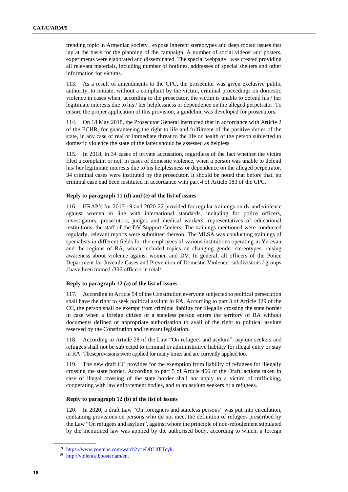trending topic in Armenian society , expose inherent stereotypes and deep rooted issues that lay at the basis for the planning of the campaign. A number of social videos<sup>9</sup> and posters, experiments were elaborated and disseminated. The special webpage<sup>10</sup> was created providing all relevant materials, including number of hotlines, addresses of special shelters and other information for victims.

113. As a result of amendments to the CPC, the prosecutor was given exclusive public authority, to initiate, without a complaint by the victim, criminal proceedings on domestic violence in cases when, according to the prosecutor, the victim is unable to defend his / her legitimate interests due to his / her helplessness or dependence on the alleged perpetrator. To ensure the proper application of this provision, a guideline was developed for prosecutors.

114. On 18 May 2018, the Prosecutor General instructed that in accordance with Article 2 of the ECHR, for guaranteeing the right to life and fulfilment of the positive duties of the state, in any case of real or immediate threat to the life or health of the person subjected to domestic violence the state of the latter should be assessed as helpless.

115. In 2018, in 34 cases of private accusation, regardless of the fact whether the victim filed a complaint or not, in cases of domestic violence, when a person was unable to defend his/ her legitimate interests due to his helplessness or dependence on the alleged perpetrator, 34 criminal cases were instituted by the prosecutor. It should be noted that before that, no criminal case had been instituted in accordance with part 4 of Article 183 of the CPC.

## **Reply to paragraph 11 (d) and (e) of the list of issues**

116. HRAP's for 2017-19 and 2020-22 provided for regular trainings on dv and violence against women in line with international standards, including for police officers, investigators, prosecutors, judges and medical workers, representatives of educational institutions, the staff of the DV Support Centers. The trainings mentioned were conducted regularly, relevant reports were submitted thereon. The MLSA was conducting trainings of specialists in different fields for the employees of various institutions operating in Yerevan and the regions of RA, which included topics on changing gender stereotypes, raising awareness about violence against women and DV. In general, all officers of the Police Department for Juvenile Cases and Prevention of Domestic Violence, subdivisions / groups / have been trained /306 officers in total/.

#### **Reply to paragraph 12 (a) of the list of issues**

117. According to Article 54 of the Constitution everyone subjected to political persecution shall have the right to seek political asylum in RA. According to part 3 of Article 329 of the CC, the person shall be exempt from criminal liability for illegally crossing the state border in case when a foreign citizen or a stateless person enters the territory of RA without documents defined or appropriate authorisation to avail of the right to political asylum reserved by the Constitution and relevant legislation.

118. According to Article 28 of the Law "On refugees and asylum", asylum seekers and refugees shall not be subjected to criminal or administrative liability for illegal entry or stay in RA. Theseprovisions were applied for many times and are currently applied too.

119. The new draft CC provides for the exemption from liability of refugees for illegally crossing the state border. According to part 5 of Article 456 of the Draft, actions taken in case of illegal crossing of the state border shall not apply to a victim of trafficking, cooperating with law enforcement bodies, and to an asylum seekers or a refugees.

#### **Reply to paragraph 12 (b) of the list of issues**

120. In 2020, a draft Law "On foreigners and stateless persons" was put into circulation, containing provisions on persons who do not meet the definition of refugees prescribed by the Law "On refugees and asylum", against whom the principle of non-refoulement stipulated by the mentioned law was applied by the authorised body, according to which, a foreign

<sup>9</sup> [https://www.youtube.com/watch?v=eDBLlfFTcyk.](https://www.youtube.com/watch?v=eDBLlfFTcyk)

<sup>10</sup> [http://violence.booster.am/en.](http://violence.booster.am/en)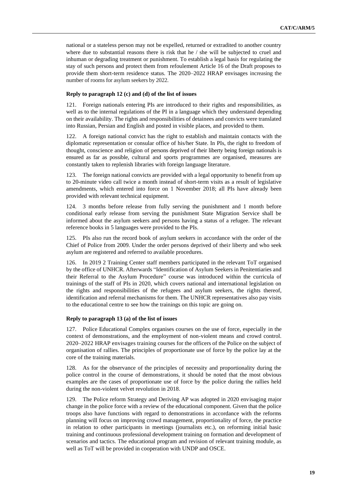national or a stateless person may not be expelled, returned or extradited to another country where due to substantial reasons there is risk that he / she will be subjected to cruel and inhuman or degrading treatment or punishment. To establish a legal basis for regulating the stay of such persons and protect them from refoulement Article 16 of the Draft proposes to provide them short-term residence status. The 2020–2022 HRAP envisages increasing the number of rooms for asylum seekers by 2022.

#### **Reply to paragraph 12 (c) and (d) of the list of issues**

121. Foreign nationals entering PIs are introduced to their rights and responsibilities, as well as to the internal regulations of the PI in a language which they understand depending on their availability. The rights and responsibilities of detainees and convicts were translated into Russian, Persian and English and posted in visible places, and provided to them.

122. A foreign national convict has the right to establish and maintain contacts with the diplomatic representation or consular office of his/her State. In PIs, the right to freedom of thought, conscience and religion of persons deprived of their liberty being foreign nationals is ensured as far as possible, cultural and sports programmes are organised, measures are constantly taken to replenish libraries with foreign language literature.

123. The foreign national convicts are provided with a legal opportunity to benefit from up to 20-minute video call twice a month instead of short-term visits as a result of legislative amendments, which entered into force on 1 November 2018; all PIs have already been provided with relevant technical equipment.

124. 3 months before release from fully serving the punishment and 1 month before conditional early release from serving the punishment State Migration Service shall be informed about the asylum seekers and persons having a status of a refugee. The relevant reference books in 5 languages were provided to the PIs.

125. PIs also run the record book of asylum seekers in accordance with the order of the Chief of Police from 2009. Under the order persons deprived of their liberty and who seek asylum are registered and referred to available procedures.

126. In 2019 2 Training Center staff members participated in the relevant ToT organised by the office of UNHCR. Afterwards "Identification of Asylum Seekers in Penitentiaries and their Referral to the Asylum Procedure" course was introduced within the curricula of trainings of the staff of PIs in 2020, which covers national and international legislation on the rights and responsibilities of the refugees and asylum seekers, the rights thereof, identification and referral mechanisms for them. The UNHCR representatives also pay visits to the educational centre to see how the trainings on this topic are going on.

#### **Reply to paragraph 13 (a) of the list of issues**

127. Police Educational Complex organises courses on the use of force, especially in the context of demonstrations, and the employment of non-violent means and crowd control. 2020–2022 HRAP envisages training courses for the officers of the Police on the subject of organisation of rallies. The principles of proportionate use of force by the police lay at the core of the training materials.

128. As for the observance of the principles of necessity and proportionality during the police control in the course of demonstrations, it should be noted that the most obvious examples are the cases of proportionate use of force by the police during the rallies held during the non-violent velvet revolution in 2018.

129. The Police reform Strategy and Deriving AP was adopted in 2020 envisaging major change in the police force with a review of the educational component. Given that the police troops also have functions with regard to demonstrations in accordance with the reforms planning will focus on improving crowd management, proportionality of force, the practice in relation to other participants in meetings (journalists etc.), on reforming initial basic training and continuous professional development training on formation and development of scenarios and tactics. The educational program and revision of relevant training module, as well as ToT will be provided in cooperation with UNDP and OSCE.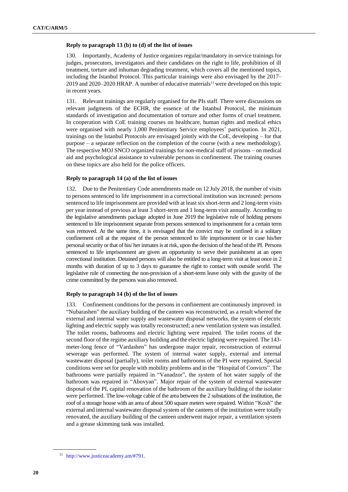#### **Reply to paragraph 13 (b) to (d) of the list of issues**

130. Importantly, Academy of Justice organizes regular/mandatory in-service trainings for judges, prosecutors, investigators and their candidates on the right to life, prohibition of ill treatment, torture and inhuman degrading treatment, which covers all the mentioned topics, including the Istanbul Protocol. This particular trainings were also envisaged by the 2017– 2019 and 2020–2020 HRAP. A number of educative materials<sup>11</sup> were developed on this topic in recent years.

131. Relevant trainings are regularly organised for the PIs staff. There were discussions on relevant judgments of the ECHR, the essence of the Istanbul Protocol, the minimum standards of investigation and documentation of torture and other forms of cruel treatment. In cooperation with CoE training courses on healthcare, human rights and medical ethics were organised with nearly 1,000 Penitentiary Service employees' participation. In 2021, trainings on the Istanbul Protocols are envisaged jointly with the CoE, developing – for that purpose – a separate reflection on the completion of the course (with a new methodology). The respective MOJ SNCO organized trainings for non-medical staff of prisons – on medical aid and psychological assistance to vulnerable persons in confinement. The training courses on these topics are also held for the police officers.

#### **Reply to paragraph 14 (a) of the list of issues**

132. Due to the Penitentiary Code amendments made on 12 July 2018, the number of visits to persons sentenced to life imprisonment in a correctional institution was increased: persons sentenced to life imprisonment are provided with at least six short-term and 2 long-term visits per year instead of previous at least 3 short-term and 1 long-term visit annually. According to the legislative amendments package adopted in June 2019 the legislative rule of holding persons sentenced to life imprisonment separate from persons sentenced to imprisonment for a certain term was removed. At the same time, it is envisaged that the convict may be confined in a solitary confinement cell at the request of the person sentenced to life imprisonment or in case his/her personal security or that of his/ her inmates is at risk, upon the decision of the head of the PI. Persons sentenced to life imprisonment are given an opportunity to serve their punishment at an open correctional institution. Detained persons will also be entitled to a long-term visit at least once in 2 months with duration of up to 3 days to guarantee the right to contact with outside world. The legislative rule of connecting the non-provision of a short-term leave only with the gravity of the crime committed by the persons was also removed.

#### **Reply to paragraph 14 (b) of the list of issues**

133. Confinement conditions for the persons in confinement are continuously improved: in "Nubarashen" the auxiliary building of the canteen was reconstructed, as a result whereof the external and internal water supply and wastewater disposal networks, the system of electric lighting and electric supply was totally reconstructed; a new ventilation system was installed. The toilet rooms, bathrooms and electric lighting were repaired. The toilet rooms of the second floor of the regime auxiliary building and the electric lighting were repaired. The 143 meter-long fence of "Vardashen" has undergone major repair, reconstruction of external sewerage was performed. The system of internal water supply, external and internal wastewater disposal (partially), toilet rooms and bathrooms of the PI were repaired. Special conditions were set for people with mobility problems and in the "Hospital of Convicts". The bathrooms were partially repaired in "Vanadzor", the system of hot water supply of the bathroom was repaired in "Abovyan". Major repair of the system of external wastewater disposal of the PI, capital renovation of the bathroom of the auxiliary building of the isolator were performed. The low-voltage cable of the area between the 2 substations of the institution, the roof of a storage house with an area of about 500 square meters were repaired. Within "Kosh" the external and internal wastewater disposal system of the canteen of the institution were totally renovated, the auxiliary building of the canteen underwent major repair, a ventilation system and a grease skimming tank was installed.

<sup>11</sup> [http://www.justiceacademy.am/#791.](http://www.justiceacademy.am/#791)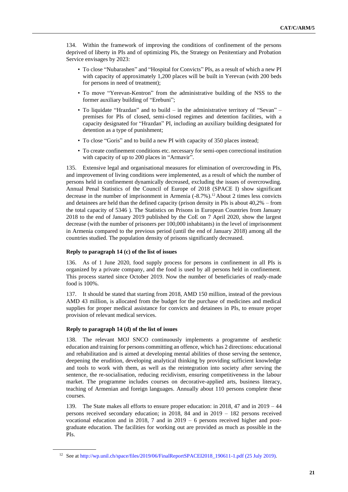134. Within the framework of improving the conditions of confinement of the persons deprived of liberty in PIs and of optimizing PIs, the Strategy on Penitentiary and Probation Service envisages by 2023:

- To close "Nubarashen" and "Hospital for Convicts" PIs, as a result of which a new PI with capacity of approximately 1,200 places will be built in Yerevan (with 200 beds for persons in need of treatment);
- To move "Yerevan-Kentron" from the administrative building of the NSS to the former auxiliary building of "Erebuni";
- To liquidate "Hrazdan" and to build in the administrative territory of "Sevan" premises for PIs of closed, semi-closed regimes and detention facilities, with a capacity designated for "Hrazdan" PI, including an auxiliary building designated for detention as a type of punishment;
- To close "Goris" and to build a new PI with capacity of 350 places instead;
- To create confinement conditions etc. necessary for semi-open correctional institution with capacity of up to 200 places in "Armavir".

135. Extensive legal and organisational measures for elimination of overcrowding in PIs, and improvement of living conditions were implemented, as a result of which the number of persons held in confinement dynamically decreased, excluding the issues of overcrowding. Annual Penal Statistics of the Council of Europe of 2018 (SPACE I) show significant decrease in the number of imprisonment in Armenia (-8.7%). <sup>12</sup> About 2 times less convicts and detainees are held than the defined capacity (prison density in PIs is about 40,2% – from the total capacity of 5346 ). The Statistics on Prisons in European Countries from January 2018 to the end of January 2019 published by the CoE on 7 April 2020, show the largest decrease (with the number of prisoners per 100,000 inhabitants) in the level of imprisonment in Armenia compared to the previous period (until the end of January 2018) among all the countries studied. The population density of prisons significantly decreased.

#### **Reply to paragraph 14 (c) of the list of issues**

136. As of 1 June 2020, food supply process for persons in confinement in all PIs is organized by a private company, and the food is used by all persons held in confinement. This process started since October 2019. Now the number of beneficiaries of ready-made food is 100%.

137. It should be stated that starting from 2018, AMD 150 million, instead of the previous AMD 43 million, is allocated from the budget for the purchase of medicines and medical supplies for proper medical assistance for convicts and detainees in PIs, to ensure proper provision of relevant medical services.

#### **Reply to paragraph 14 (d) of the list of issues**

138. The relevant MOJ SNCO continuously implements a programme of aesthetic education and training for persons committing an offence, which has 2 directions: educational and rehabilitation and is aimed at developing mental abilities of those serving the sentence, deepening the erudition, developing analytical thinking by providing sufficient knowledge and tools to work with them, as well as the reintegration into society after serving the sentence, the re-socialisation, reducing recidivism, ensuring competitiveness in the labour market. The programme includes courses on decorative-applied arts, business literacy, teaching of Armenian and foreign languages. Annually about 110 persons complete these courses.

139. The State makes all efforts to ensure proper education: in 2018, 47 and in 2019 – 44 persons received secondary education; in 2018, 84 and in 2019 – 182 persons received vocational education and in 2018, 7 and in 2019 – 6 persons received higher and postgraduate education. The facilities for working out are provided as much as possible in the PIs.

<sup>12</sup> See at [http://wp.unil.ch/space/files/2019/06/FinalReportSPACEI2018\\_190611-1.pdf](http://wp.unil.ch/space/files/2019/06/FinalReportSPACEI2018_190611-1.pdf) (25 July 2019).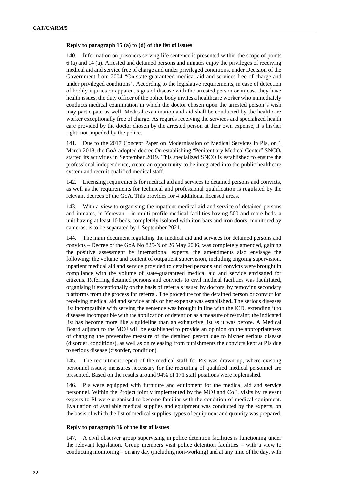#### **Reply to paragraph 15 (a) to (d) of the list of issues**

140. Information on prisoners serving life sentence is presented within the scope of points 6 (a) and 14 (a). Arrested and detained persons and inmates enjoy the privileges of receiving medical aid and service free of charge and under privileged conditions, under Decision of the Government from 2004 "On state-guaranteed medical aid and services free of charge and under privileged conditions". According to the legislative requirements, in case of detection of bodily injuries or apparent signs of disease with the arrested person or in case they have health issues, the duty officer of the police body invites a healthcare worker who immediately conducts medical examination in which the doctor chosen upon the arrested person's wish may participate as well. Medical examination and aid shall be conducted by the healthcare worker exceptionally free of charge. As regards receiving the services and specialized health care provided by the doctor chosen by the arrested person at their own expense, it's his/her right, not impeded by the police.

141. Due to the 2017 Concept Paper on Modernisation of Medical Services in PIs, on 1 March 2018, the GoA adopted decree On establishing "Penitentiary Medical Center" SNCO**,**  started its activities in September 2019. This specialized SNCO is established to ensure the professional independence, create an opportunity to be integrated into the public healthcare system and recruit qualified medical staff.

142. Licensing requirements for medical aid and services to detained persons and convicts, as well as the requirements for technical and professional qualification is regulated by the relevant decrees of the GoA. This provides for 4 additional licensed areas.

143. With a view to organising the inpatient medical aid and service of detained persons and inmates, in Yerevan – in multi-profile medical facilities having 500 and more beds, a unit having at least 10 beds, completely isolated with iron bars and iron doors, monitored by cameras, is to be separated by 1 September 2021.

144. The main document regulating the medical aid and services for detained persons and convicts – Decree of the GoA No 825-N of 26 May 2006, was completely amended, gaining the positive assessment by international experts. the amendments also envisage the following: the volume and content of outpatient supervision, including ongoing supervision, inpatient medical aid and service provided to detained persons and convicts were brought in compliance with the volume of state-guaranteed medical aid and service envisaged for citizens. Referring detained persons and convicts to civil medical facilities was facilitated, organising it exceptionally on the basis of referrals issued by doctors, by removing secondary platforms from the process for referral. The procedure for the detained person or convict for receiving medical aid and service at his or her expense was established**.** The serious diseases list incompatible with serving the sentence was brought in line with the ICD, extending it to diseases incompatible with the application of detention as a measure of restraint; the indicated list has become more like a guideline than an exhaustive list as it was before. A Medical Board adjunct to the MOJ will be established to provide an opinion on the appropriateness of changing the preventive measure of the detained person due to his/her serious disease (disorder, conditions), as well as on releasing from punishments the convicts kept at PIs due to serious disease (disorder, condition).

145. The recruitment report of the medical staff for PIs was drawn up, where existing personnel issues; measures necessary for the recruiting of qualified medical personnel are presented. Based on the results around 94% of 171 staff positions were replenished.

146. PIs were equipped with furniture and equipment for the medical aid and service personnel. Within the Project jointly implemented by the MOJ and CoE, visits by relevant experts to PI were organised to become familiar with the condition of medical equipment. Evaluation of available medical supplies and equipment was conducted by the experts, on the basis of which the list of medical supplies, types of equipment and quantity was prepared.

#### **Reply to paragraph 16 of the list of issues**

147. A civil observer group supervising in police detention facilities is functioning under the relevant legislation. Group members visit police detention facilities – with a view to conducting monitoring – on any day (including non-working) and at any time of the day, with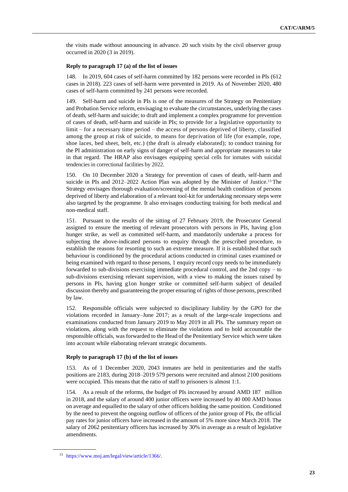the visits made without announcing in advance. 20 such visits by the civil observer group occurred in 2020 (3 in 2019).

#### **Reply to paragraph 17 (a) of the list of issues**

148. In 2019, 604 cases of self-harm committed by 182 persons were recorded in PIs (612 cases in 2018). 223 cases of self-harm were prevented in 2019. As of November 2020, 480 cases of self-harm committed by 241 persons were recorded.

149. Self-harm and suicide in PIs is one of the measures of the Strategy on Penitentiary and Probation Service reform, envisaging to evaluate the circumstances, underlying the cases of death, self-harm and suicide; to draft and implement a complex programme for prevention of cases of death, self-harm and suicide in PIs; to provide for a legislative opportunity to limit – for a necessary time period – the access of persons deprived of liberty, classified among the group at risk of suicide, to means for deprivation of life (for example, rope, shoe laces, bed sheet, belt, etc.) (the draft is already elaborated); to conduct training for the PI administration on early signs of danger of self-harm and appropriate measures to take in that regard. The HRAP also envisages equipping special cells for inmates with suicidal tendencies in correctional facilities by 2022.

150. On 10 December 2020 a Strategy for prevention of cases of death, self-harm and suicide in PIs and 2012–2022 Action Plan was adopted by the Minister of Justice.<sup>13</sup> The Strategy envisages thorough evaluation/screening of the mental health condition of persons deprived of liberty and elaboration of a relevant tool-kit for undertaking necessary steps were also targeted by the programme. It also envisages conducting training for both medical and non-medical staff.

151. Pursuant to the results of the sitting of 27 February 2019, the Prosecutor General assigned to ensure the meeting of relevant prosecutors with persons in PIs, having g1on hunger strike, as well as committed self-harm, and mandatorily undertake a process for subjecting the above-indicated persons to enquiry through the prescribed procedure, to establish the reasons for resorting to such an extreme measure. If it is established that such behaviour is conditioned by the procedural actions conducted in criminal cases examined or being examined with regard to those persons, 1 enquiry record copy needs to be immediately forwarded to sub-divisions exercising immediate procedural control, and the 2nd copy – to sub-divisions exercising relevant supervision, with a view to making the issues raised by persons in PIs, having g1on hunger strike or committed self-harm subject of detailed discussion thereby and guaranteeing the proper ensuring of rights of those persons, prescribed by law.

152. Responsible officials were subjected to disciplinary liability by the GPO for the violations recorded in January–June 2017; as a result of the large-scale inspections and examinations conducted from January 2019 to May 2019 in all PIs. The summary report on violations, along with the request to eliminate the violations and to hold accountable the responsible officials, was forwarded to the Head of the Penitentiary Service which were taken into account while elaborating relevant strategic documents.

#### **Reply to paragraph 17 (b) of the list of issues**

153. As of 1 December 2020, 2043 inmates are held in penitentiaries and the staffs positions are 2183, during 2018–2019 579 persons were recruited and almost 2100 positions were occupied. This means that the ratio of staff to prisoners is almost 1:1.

154. As a result of the reforms, the budget of PIs increased by around AMD 187 million in 2018, and the salary of around 400 junior officers were increased by 40 000 AMD bonus on average and equalled to the salary of other officers holding the same position. Conditioned by the need to prevent the ongoing outflow of officers of the junior group of PIs, the official pay rates for junior officers have increased in the amount of 5% more since March 2018. The salary of 2062 penitentiary officers has increased by 30% in average as a result of legislative amendments.

<sup>13</sup> [https://www.moj.am/legal/view/article/1366/.](https://www.moj.am/legal/view/article/1366/)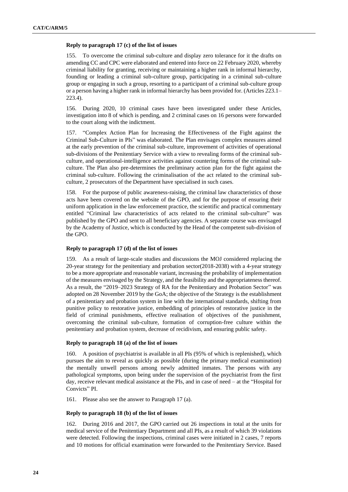## **Reply to paragraph 17 (c) of the list of issues**

155. To overcome the criminal sub-culture and display zero tolerance for it the drafts on amending CC and CPC were elaborated and entered into force on 22 February 2020, whereby criminal liability for granting, receiving or maintaining a higher rank in informal hierarchy, founding or leading a criminal sub-culture group, participating in a criminal sub-culture group or engaging in such a group, resorting to a participant of a criminal sub-culture group or a person having a higher rank in informal hierarchy has been provided for. (Articles 223.1– 223.4).

156. During 2020, 10 criminal cases have been investigated under these Articles, investigation into 8 of which is pending, and 2 criminal cases on 16 persons were forwarded to the court along with the indictment.

157. "Complex Action Plan for Increasing the Effectiveness of the Fight against the Criminal Sub-Culture in PIs" was elaborated. The Plan envisages complex measures aimed at the early prevention of the criminal sub-culture, improvement of activities of operational sub-divisions of the Penitentiary Service with a view to revealing forms of the criminal subculture, and operational-intelligence activities against countering forms of the criminal subculture. The Plan also pre-determines the preliminary action plan for the fight against the criminal sub-culture. Following the criminalisation of the act related to the criminal subculture, 2 prosecutors of the Department have specialised in such cases.

158. For the purpose of public awareness-raising, the criminal law characteristics of those acts have been covered on the website of the GPO, and for the purpose of ensuring their uniform application in the law enforcement practice, the scientific and practical commentary entitled "Criminal law characteristics of acts related to the criminal sub-culture" was published by the GPO and sent to all beneficiary agencies. A separate course was envisaged by the Academy of Justice, which is conducted by the Head of the competent sub-division of the GPO.

## **Reply to paragraph 17 (d) of the list of issues**

159. As a result of large-scale studies and discussions the MOJ considered replacing the 20-year strategy for the penitentiary and probation sector(2018-2038) with a 4-year strategy to be a more appropriate and reasonable variant, increasing the probability of implementation of the measures envisaged by the Strategy, and the feasibility and the appropriateness thereof. As a result, the "2019–2023 Strategy of RA for the Penitentiary and Probation Sector" was adopted on 28 November 2019 by the GoA; the objective of the Strategy is the establishment of a penitentiary and probation system in line with the international standards, shifting from punitive policy to restorative justice, embedding of principles of restorative justice in the field of criminal punishments, effective realisation of objectives of the punishment, overcoming the criminal sub-culture, formation of corruption-free culture within the penitentiary and probation system, decrease of recidivism, and ensuring public safety.

## **Reply to paragraph 18 (a) of the list of issues**

160. A position of psychiatrist is available in all PIs (95% of which is replenished), which pursues the aim to reveal as quickly as possible (during the primary medical examination) the mentally unwell persons among newly admitted inmates. The persons with any pathological symptoms, upon being under the supervision of the psychiatrist from the first day, receive relevant medical assistance at the PIs, and in case of need – at the "Hospital for Convicts" PI.

161. Please also see the answer to Paragraph 17 (a).

## **Reply to paragraph 18 (b) of the list of issues**

162. During 2016 and 2017, the GPO carried out 26 inspections in total at the units for medical service of the Penitentiary Department and all PIs, as a result of which 39 violations were detected. Following the inspections, criminal cases were initiated in 2 cases, 7 reports and 10 motions for official examination were forwarded to the Penitentiary Service. Based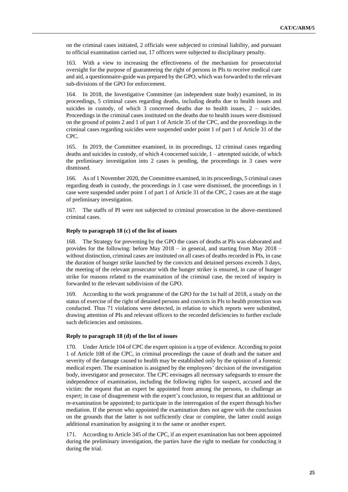on the criminal cases initiated, 2 officials were subjected to criminal liability, and pursuant to official examination carried out, 17 officers were subjected to disciplinary penalty.

163. With a view to increasing the effectiveness of the mechanism for prosecutorial oversight for the purpose of guaranteeing the right of persons in PIs to receive medical care and aid, a questionnaire-guide was prepared by the GPO, which was forwarded to the relevant sub-divisions of the GPO for enforcement.

164. In 2018, the Investigative Committee (an independent state body) examined, in its proceedings, 5 criminal cases regarding deaths, including deaths due to health issues and suicides in custody, of which 3 concerned deaths due to health issues, 2 – suicides. Proceedings in the criminal cases instituted on the deaths due to health issues were dismissed on the ground of points 2 and 1 of part 1 of Article 35 of the CPC, and the proceedings in the criminal cases regarding suicides were suspended under point 1 of part 1 of Article 31 of the CPC.

165. In 2019, the Committee examined, in its proceedings, 12 criminal cases regarding deaths and suicides in custody, of which 4 concerned suicide, 1 – attempted suicide, of which the preliminary investigation into 2 cases is pending, the proceedings in 3 cases were dismissed.

166. As of 1 November 2020, the Committee examined, in its proceedings, 5 criminal cases regarding death in custody, the proceedings in 1 case were dismissed, the proceedings in 1 case were suspended under point 1 of part 1 of Article 31 of the CPC, 2 cases are at the stage of preliminary investigation.

167. The staffs of PI were not subjected to criminal prosecution in the above-mentioned criminal cases.

#### **Reply to paragraph 18 (c) of the list of issues**

168. The Strategy for preventing by the GPO the cases of deaths at PIs was elaborated and provides for the following: before May 2018 – in general, and starting from May 2018 – without distinction, criminal cases are instituted on all cases of deaths recorded in PIs, in case the duration of hunger strike launched by the convicts and detained persons exceeds 3 days, the meeting of the relevant prosecutor with the hunger striker is ensured, in case of hunger strike for reasons related to the examination of the criminal case, the record of inquiry is forwarded to the relevant subdivision of the GPO.

169. According to the work programme of the GPO for the 1st half of 2018, a study on the status of exercise of the right of detained persons and convicts in PIs to health protection was conducted. Thus 71 violations were detected, in relation to which reports were submitted, drawing attention of PIs and relevant officers to the recorded deficiencies to further exclude such deficiencies and omissions.

#### **Reply to paragraph 18 (d) of the list of issues**

170. Under Article 104 of CPC the expert opinion is a type of evidence. According to point 1 of Article 108 of the CPC, in criminal proceedings the cause of death and the nature and severity of the damage caused to health may be established only by the opinion of a forensic medical expert. The examination is assigned by the employees' decision of the investigation body, investigator and prosecutor. The CPC envisages all necessary safeguards to ensure the independence of examination, including the following rights for suspect, accused and the victim: the request that an expert be appointed from among the persons, to challenge an expert; in case of disagreement with the expert's conclusion, to request that an additional or re-examination be appointed; to participate in the interrogation of the expert through his/her mediation. If the person who appointed the examination does not agree with the conclusion on the grounds that the latter is not sufficiently clear or complete, the latter could assign additional examination by assigning it to the same or another expert.

171. According to Article 345 of the CPC, if an expert examination has not been appointed during the preliminary investigation, the parties have the right to mediate for conducting it during the trial.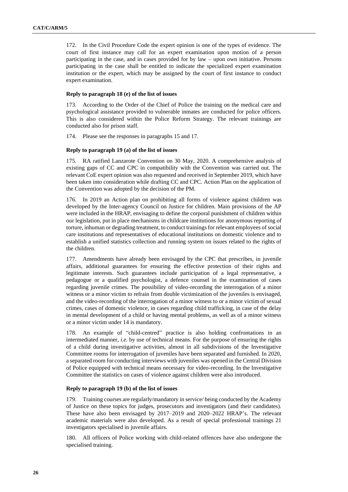172. In the Civil Procedure Code the expert opinion is one of the types of evidence. The court of first instance may call for an expert examination upon motion of a person participating in the case, and in cases provided for by law – upon own initiative. Persons participating in the case shall be entitled to indicate the specialized expert examination institution or the expert, which may be assigned by the court of first instance to conduct expert examination.

#### **Reply to paragraph 18 (e) of the list of issues**

173. According to the Order of the Chief of Police the training on the medical care and psychological assistance provided to vulnerable inmates are conducted for police officers. This is also considered within the Police Reform Strategy. The relevant trainings are conducted also for prison staff.

174. Please see the responses in paragraphs 15 and 17.

#### **Reply to paragraph 19 (a) of the list of issues**

175. RA ratified Lanzarote Convention on 30 May, 2020. A comprehensive analysis of existing gaps of CC and CPC in compatibility with the Convention was carried out. The relevant CoE expert opinion was also requested and received in September 2019, which have been taken into consideration while drafting CC and CPC. Action Plan on the application of the Convention was adopted by the decision of the PM.

176. In 2019 an Action plan on prohibiting all forms of violence against children was developed by the Inter-agency Council on Justice for children. Main provisions of the AP were included in the HRAP, envisaging to define the corporal punishment of children within our legislation, put in place mechanisms in childcare institutions for anonymous reporting of torture, inhuman or degrading treatment, to conduct trainings for relevant employees of social care institutions and representatives of educational institutions on domestic violence and to establish a unified statistics collection and running system on issues related to the rights of the children.

177. Amendments have already been envisaged by the CPC that prescribes, in juvenile affairs, additional guarantees for ensuring the effective protection of their rights and legitimate interests. Such guarantees include participation of a legal representative, a pedagogue or a qualified psychologist, a defence counsel in the examination of cases regarding juvenile crimes. The possibility of video-recording the interrogation of a minor witness or a minor victim to refrain from double victimization of the juveniles is envisaged, and the video-recording of the interrogation of a minor witness to or a minor victim of sexual crimes, cases of domestic violence, in cases regarding child trafficking, in case of the delay in mental development of a child or having mental problems, as well as of a minor witness or a minor victim under 14 is mandatory.

178. An example of "child-centred" practice is also holding confrontations in an intermediated manner, *i.e.* by use of technical means. For the purpose of ensuring the rights of a child during investigative activities, almost in all subdivisions of the Investigative Committee rooms for interrogation of juveniles have been separated and furnished. In 2020, a separated room for conducting interviews with juveniles was opened in the Central Division of Police equipped with technical means necessary for video-recording. In the Investigative Committee the statistics on cases of violence against children were also introduced.

## **Reply to paragraph 19 (b) of the list of issues**

179. Training courses are regularly/mandatory in service/ being conducted by the Academy of Justice on these topics for judges, prosecutors and investigators (and their candidates). These have also been envisaged by 2017–2019 and 2020–2022 HRAP's. The relevant academic materials were also developed. As a result of special professional trainings 21 investigators specialised in juvenile affairs.

180. All officers of Police working with child-related offences have also undergone the specialised training.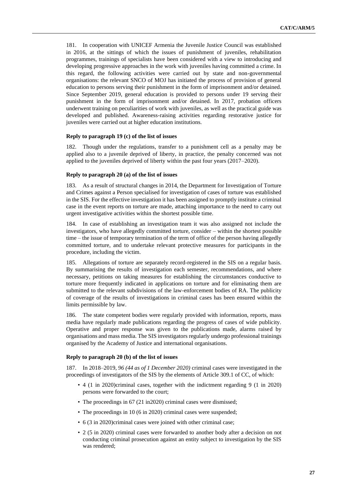181. In cooperation with UNICEF Armenia the Juvenile Justice Council was established in 2016, at the sittings of which the issues of punishment of juveniles, rehabilitation programmes, trainings of specialists have been considered with a view to introducing and developing progressive approaches in the work with juveniles having committed a crime. In this regard, the following activities were carried out by state and non-governmental organisations: the relevant SNCO of MOJ has initiated the process of provision of general education to persons serving their punishment in the form of imprisonment and/or detained. Since September 2019, general education is provided to persons under 19 serving their punishment in the form of imprisonment and/or detained. In 2017, probation officers underwent training on peculiarities of work with juveniles, as well as the practical guide was developed and published. Awareness-raising activities regarding restorative justice for juveniles were carried out at higher education institutions.

#### **Reply to paragraph 19 (c) of the list of issues**

182. Though under the regulations, transfer to a punishment cell as a penalty may be applied also to a juvenile deprived of liberty, in practice, the penalty concerned was not applied to the juveniles deprived of liberty within the past four years (2017–2020).

#### **Reply to paragraph 20 (a) of the list of issues**

183. As a result of structural changes in 2014, the Department for Investigation of Torture and Crimes against a Person specialised for investigation of cases of torture was established in the SIS. For the effective investigation it has been assigned to promptly institute a criminal case in the event reports on torture are made, attaching importance to the need to carry out urgent investigative activities within the shortest possible time.

184. In case of establishing an investigation team it was also assigned not include the investigators, who have allegedly committed torture, consider – within the shortest possible time – the issue of temporary termination of the term of office of the person having allegedly committed torture, and to undertake relevant protective measures for participants in the procedure, including the victim.

185. Allegations of torture are separately record-registered in the SIS on a regular basis. By summarising the results of investigation each semester, recommendations, and where necessary, petitions on taking measures for establishing the circumstances conductive to torture more frequently indicated in applications on torture and for eliminating them are submitted to the relevant subdivisions of the law-enforcement bodies of RA. The publicity of coverage of the results of investigations in criminal cases has been ensured within the limits permissible by law.

186. The state competent bodies were regularly provided with information, reports, mass media have regularly made publications regarding the progress of cases of wide publicity. Operative and proper response was given to the publications made, alarms raised by organisations and mass media. The SIS investigators regularly undergo professional trainings organised by the Academy of Justice and international organisations.

#### **Reply to paragraph 20 (b) of the list of issues**

187. In 2018–2019, *96 (44 as of 1 December 2020)* criminal cases were investigated in the proceedings of investigators of the SIS by the elements of Article 309.1 of CC, of which:

- 4 (1 in 2020)criminal cases, together with the indictment regarding 9 (1 in 2020) persons were forwarded to the court;
- The proceedings in 67 (21 in2020) criminal cases were dismissed;
- The proceedings in 10 (6 in 2020) criminal cases were suspended;
- 6 (3 in 2020)criminal cases were joined with other criminal case;
- 2 (5 in 2020) criminal cases were forwarded to another body after a decision on not conducting criminal prosecution against an entity subject to investigation by the SIS was rendered;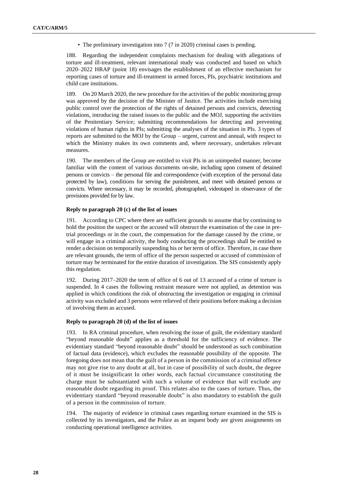• The preliminary investigation into 7 (7 in 2020) criminal cases is pending.

188. Regarding the independent complaints mechanism for dealing with allegations of torture and ill-treatment, relevant international study was conducted and based on which 2020–2022 HRAP (point 18) envisages the establishment of an effective mechanism for reporting cases of torture and ill-treatment in armed forces, PIs, psychiatric institutions and child care institutions.

189. On 20 March 2020, the new procedure for the activities of the public monitoring group was approved by the decision of the Minister of Justice. The activities include exercising public control over the protection of the rights of detained persons and convicts, detecting violations, introducing the raised issues to the public and the MOJ, supporting the activities of the Penitentiary Service; submitting recommendations for detecting and preventing violations of human rights in PIs; submitting the analyses of the situation in PIs. 3 types of reports are submitted to the MOJ by the Group – urgent, current and annual, with respect to which the Ministry makes its own comments and, where necessary, undertakes relevant measures.

190. The members of the Group are entitled to visit PIs in an unimpeded manner, become familiar with the content of various documents on-site, including upon consent of detained persons or convicts – the personal file and correspondence (with exception of the personal data protected by law), conditions for serving the punishment, and meet with detained persons or convicts. Where necessary, it may be recorded, photographed, videotaped in observance of the provisions provided for by law.

#### **Reply to paragraph 20 (c) of the list of issues**

191. According to CPC where there are sufficient grounds to assume that by continuing to hold the position the suspect or the accused will obstruct the examination of the case in pretrial proceedings or in the court, the compensation for the damage caused by the crime, or will engage in a criminal activity, the body conducting the proceedings shall be entitled to render a decision on temporarily suspending his or her term of office. Therefore, in case there are relevant grounds, the term of office of the person suspected or accused of commission of torture may be terminated for the entire duration of investigation. The SIS consistently apply this regulation.

192. During 2017–2020 the term of office of 6 out of 13 accused of a crime of torture is suspended. In 4 cases the following restraint measure were not applied, as detention was applied in which conditions the risk of obstructing the investigation or engaging in criminal activity was excluded and 3 persons were relieved of their positions before making a decision of involving them as accused.

## **Reply to paragraph 20 (d) of the list of issues**

193. In RA criminal procedure, when resolving the issue of guilt, the evidentiary standard "beyond reasonable doubt" applies as a threshold for the sufficiency of evidence. The evidentiary standard "beyond reasonable doubt" should be understood as such combination of factual data (evidence), which excludes the reasonable possibility of the opposite. The foregoing does not mean that the guilt of a person in the commission of a criminal offence may not give rise to any doubt at all, but in case of possibility of such doubt, the degree of it must be insignificant In other words, each factual circumstance constituting the charge must be substantiated with such a volume of evidence that will exclude any reasonable doubt regarding its proof. This relates also to the cases of torture. Thus, the evidentiary standard "beyond reasonable doubt" is also mandatory to establish the guilt of a person in the commission of torture.

194. The majority of evidence in criminal cases regarding torture examined in the SIS is collected by its investigators, and the Police as an inquest body are given assignments on conducting operational intelligence activities.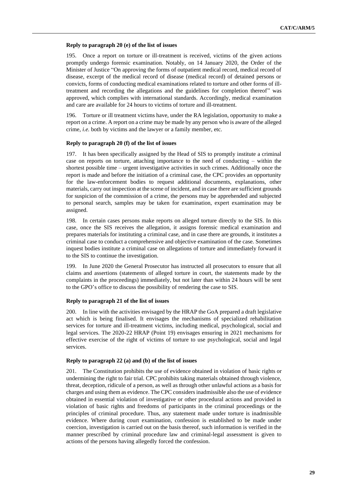## **Reply to paragraph 20 (e) of the list of issues**

195. Once a report on torture or ill-treatment is received, victims of the given actions promptly undergo forensic examination. Notably, on 14 January 2020, the Order of the Minister of Justice "On approving the forms of outpatient medical record, medical record of disease, excerpt of the medical record of disease (medical record) of detained persons or convicts, forms of conducting medical examinations related to torture and other forms of illtreatment and recording the allegations and the guidelines for completion thereof" was approved, which complies with international standards. Accordingly, medical examination and care are available for 24 hours to victims of torture and ill-treatment.

196. Torture or ill treatment victims have, under the RA legislation, opportunity to make a report on a crime. A report on a crime may be made by any person who is aware of the alleged crime, *i.e.* both by victims and the lawyer or a family member, etc.

## **Reply to paragraph 20 (f) of the list of issues**

197. It has been specifically assigned by the Head of SIS to promptly institute a criminal case on reports on torture, attaching importance to the need of conducting – within the shortest possible time – urgent investigative activities in such crimes. Additionally once the report is made and before the initiation of a criminal case, the CPC provides an opportunity for the law-enforcement bodies to request additional documents, explanations, other materials, carry out inspection at the scene of incident, and in case there are sufficient grounds for suspicion of the commission of a crime, the persons may be apprehended and subjected to personal search, samples may be taken for examination, expert examination may be assigned.

198. In certain cases persons make reports on alleged torture directly to the SIS. In this case, once the SIS receives the allegation, it assigns forensic medical examination and prepares materials for instituting a criminal case, and in case there are grounds, it institutes a criminal case to conduct a comprehensive and objective examination of the case. Sometimes inquest bodies institute a criminal case on allegations of torture and immediately forward it to the SIS to continue the investigation.

199. In June 2020 the General Prosecutor has instructed all prosecutors to ensure that all claims and assertions (statements of alleged torture in court, the statements made by the complaints in the proceedings) immediately, but not later than within 24 hours will be sent to the GPO's office to discuss the possibility of rendering the case to SIS.

## **Reply to paragraph 21 of the list of issues**

200. In line with the activities envisaged by the HRAP the GoA prepared a draft legislative act which is being finalised. It envisages the mechanisms of specialized rehabilitation services for torture and ill-treatment victims, including medical, psychological, social and legal services. The 2020-22 HRAP (Point 19) envisages ensuring in 2021 mechanisms for effective exercise of the right of victims of torture to use psychological, social and legal services.

## **Reply to paragraph 22 (a) and (b) of the list of issues**

201. The Constitution prohibits the use of evidence obtained in violation of basic rights or undermining the right to fair trial. CPC prohibits taking materials obtained through violence, threat, deception, ridicule of a person, as well as through other unlawful actions as a basis for charges and using them as evidence. The CPC considers inadmissible also the use of evidence obtained in essential violation of investigative or other procedural actions and provided in violation of basic rights and freedoms of participants in the criminal proceedings or the principles of criminal procedure. Thus, any statement made under torture is inadmissible evidence. Where during court examination, confession is established to be made under coercion, investigation is carried out on the basis thereof, such information is verified in the manner prescribed by criminal procedure law and criminal-legal assessment is given to actions of the persons having allegedly forced the confession.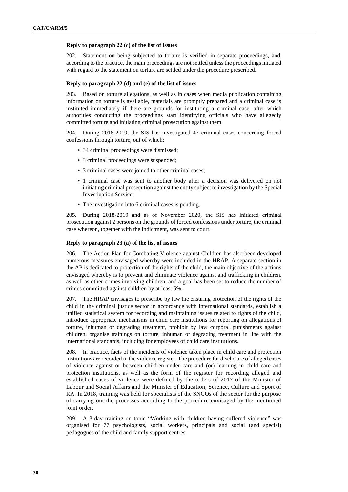## **Reply to paragraph 22 (c) of the list of issues**

202. Statement on being subjected to torture is verified in separate proceedings, and, according to the practice, the main proceedings are not settled unless the proceedings initiated with regard to the statement on torture are settled under the procedure prescribed.

## **Reply to paragraph 22 (d) and (e) of the list of issues**

203. Based on torture allegations, as well as in cases when media publication containing information on torture is available, materials are promptly prepared and a criminal case is instituted immediately if there are grounds for instituting a criminal case, after which authorities conducting the proceedings start identifying officials who have allegedly committed torture and initiating criminal prosecution against them.

204. During 2018-2019, the SIS has investigated 47 criminal cases concerning forced confessions through torture, out of which:

- 34 criminal proceedings were dismissed;
- 3 criminal proceedings were suspended;
- 3 criminal cases were joined to other criminal cases;
- 1 criminal case was sent to another body after a decision was delivered on not initiating criminal prosecution against the entity subject to investigation by the Special Investigation Service;
- The investigation into 6 criminal cases is pending.

205. During 2018-2019 and as of November 2020, the SIS has initiated criminal prosecution against 2 persons on the grounds of forced confessions under torture, the criminal case whereon, together with the indictment, was sent to court.

## **Reply to paragraph 23 (a) of the list of issues**

206. The Action Plan for Combating Violence against Children has also been developed numerous measures envisaged whereby were included in the HRAP. A separate section in the AP is dedicated to protection of the rights of the child, the main objective of the actions envisaged whereby is to prevent and eliminate violence against and trafficking in children, as well as other crimes involving children, and a goal has been set to reduce the number of crimes committed against children by at least 5%.

207. The HRAP envisages to prescribe by law the ensuring protection of the rights of the child in the criminal justice sector in accordance with international standards, establish a unified statistical system for recording and maintaining issues related to rights of the child, introduce appropriate mechanisms in child care institutions for reporting on allegations of torture, inhuman or degrading treatment, prohibit by law corporal punishments against children, organise trainings on torture, inhuman or degrading treatment in line with the international standards, including for employees of child care institutions.

208. In practice, facts of the incidents of violence taken place in child care and protection institutions are recorded in the violence register. The procedure for disclosure of alleged cases of violence against or between children under care and (or) learning in child care and protection institutions, as well as the form of the register for recording alleged and established cases of violence were defined by the orders of 2017 of the Minister of Labour and Social Affairs and the Minister of Education, Science, Culture and Sport of RA. In 2018, training was held for specialists of the SNCOs of the sector for the purpose of carrying out the processes according to the procedure envisaged by the mentioned joint order.

209. A 3-day training on topic "Working with children having suffered violence" was organised for 77 psychologists, social workers, principals and social (and special) pedagogues of the child and family support centres.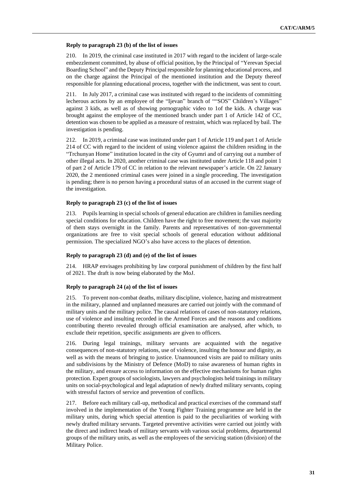## **Reply to paragraph 23 (b) of the list of issues**

210. In 2019, the criminal case instituted in 2017 with regard to the incident of large-scale embezzlement committed, by abuse of official position, by the Principal of "Yerevan Special Boarding School" and the Deputy Principal responsible for planning educational process, and on the charge against the Principal of the mentioned institution and the Deputy thereof responsible for planning educational process, together with the indictment, was sent to court.

211. In July 2017, a criminal case was instituted with regard to the incidents of committing lecherous actions by an employee of the "Ijevan" branch of ""SOS" Children's Villages" against 3 kids, as well as of showing pornographic video to 1of the kids. A charge was brought against the employee of the mentioned branch under part 1 of Article 142 of CC, detention was chosen to be applied as a measure of restraint, which was replaced by bail. The investigation is pending.

212. In 2019, a criminal case was instituted under part 1 of Article 119 and part 1 of Article 214 of CC with regard to the incident of using violence against the children residing in the "Trchunyan Home" institution located in the city of Gyumri and of carrying out a number of other illegal acts. In 2020, another criminal case was instituted under Article 118 and point 1 of part 2 of Article 179 of CC in relation to the relevant newspaper's article. On 22 January 2020, the 2 mentioned criminal cases were joined in a single proceeding. The investigation is pending; there is no person having a procedural status of an accused in the current stage of the investigation.

## **Reply to paragraph 23 (c) of the list of issues**

213. Pupils learning in special schools of general education are children in families needing special conditions for education. Children have the right to free movement; the vast majority of them stays overnight in the family. Parents and representatives of non-governmental organizations are free to visit special schools of general education without additional permission. The specialized NGO's also have access to the places of detention.

#### **Reply to paragraph 23 (d) and (e) of the list of issues**

214. HRAP envisages prohibiting by law corporal punishment of children by the first half of 2021. The draft is now being elaborated by the MoJ.

#### **Reply to paragraph 24 (a) of the list of issues**

215. To prevent non-combat deaths, military discipline, violence, hazing and mistreatment in the military, planned and unplanned measures are carried out jointly with the command of military units and the military police. The causal relations of cases of non-statutory relations, use of violence and insulting recorded in the Armed Forces and the reasons and conditions contributing thereto revealed through official examination are analysed, after which, to exclude their repetition, specific assignments are given to officers.

216. During legal trainings, military servants are acquainted with the negative consequences of non-statutory relations, use of violence, insulting the honour and dignity, as well as with the means of bringing to justice. Unannounced visits are paid to military units and subdivisions by the Ministry of Defence (MoD) to raise awareness of human rights in the military, and ensure access to information on the effective mechanisms for human rights protection. Expert groups of sociologists, lawyers and psychologists held trainings in military units on social-psychological and legal adaptation of newly drafted military servants, coping with stressful factors of service and prevention of conflicts.

217. Before each military call-up, methodical and practical exercises of the command staff involved in the implementation of the Young Fighter Training programme are held in the military units, during which special attention is paid to the peculiarities of working with newly drafted military servants. Targeted preventive activities were carried out jointly with the direct and indirect heads of military servants with various social problems, departmental groups of the military units, as well as the employees of the servicing station (division) of the Military Police.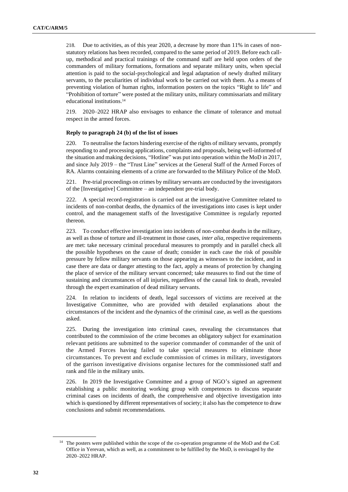218. Due to activities, as of this year 2020, a decrease by more than 11% in cases of nonstatutory relations has been recorded, compared to the same period of 2019. Before each callup, methodical and practical trainings of the command staff are held upon orders of the commanders of military formations, formations and separate military units, when special attention is paid to the social-psychological and legal adaptation of newly drafted military servants, to the peculiarities of individual work to be carried out with them. As a means of preventing violation of human rights, information posters on the topics "Right to life" and "Prohibition of torture" were posted at the military units, military commissariats and military educational institutions.<sup>14</sup>

219. 2020–2022 HRAP also envisages to enhance the climate of tolerance and mutual respect in the armed forces.

#### **Reply to paragraph 24 (b) of the list of issues**

220. To neutralise the factors hindering exercise of the rights of military servants, promptly responding to and processing applications, complaints and proposals, being well-informed of the situation and making decisions, "Hotline" was put into operation within the MoD in 2017, and since July 2019 – the "Trust Line" services at the General Staff of the Armed Forces of RA. Alarms containing elements of a crime are forwarded to the Military Police of the MoD.

221. Pre-trial proceedings on crimes by military servants are conducted by the investigators of the [Investigative] Committee – an independent pre-trial body.

222. A special record-registration is carried out at the investigative Committee related to incidents of non-combat deaths, the dynamics of the investigations into cases is kept under control, and the management staffs of the Investigative Committee is regularly reported thereon.

223. To conduct effective investigation into incidents of non-combat deaths in the military, as well as those of torture and ill-treatment in those cases, *inter alia*, respective requirements are met: take necessary criminal procedural measures to promptly and in parallel check all the possible hypotheses on the cause of death; consider in each case the risk of possible pressure by fellow military servants on those appearing as witnesses to the incident, and in case there are data or danger attesting to the fact, apply a means of protection by changing the place of service of the military servant concerned; take measures to find out the time of sustaining and circumstances of all injuries, regardless of the causal link to death, revealed through the expert examination of dead military servants.

224. In relation to incidents of death, legal successors of victims are received at the Investigative Committee, who are provided with detailed explanations about the circumstances of the incident and the dynamics of the criminal case, as well as the questions asked.

225. During the investigation into criminal cases, revealing the circumstances that contributed to the commission of the crime becomes an obligatory subject for examination relevant petitions are submitted to the superior commander of commander of the unit of the Armed Forces having failed to take special measures to eliminate those circumstances. To prevent and exclude commission of crimes in military, investigators of the garrison investigative divisions organise lectures for the commissioned staff and rank and file in the military units.

226. In 2019 the Investigative Committee and a group of NGO's signed an agreement establishing a public monitoring working group with competences to discuss separate criminal cases on incidents of death, the comprehensive and objective investigation into which is questioned by different representatives of society; it also has the competence to draw conclusions and submit recommendations.

<sup>&</sup>lt;sup>14</sup> The posters were published within the scope of the co-operation programme of the MoD and the CoE Office in Yerevan, which as well, as a commitment to be fulfilled by the MoD, is envisaged by the 2020–2022 HRAP.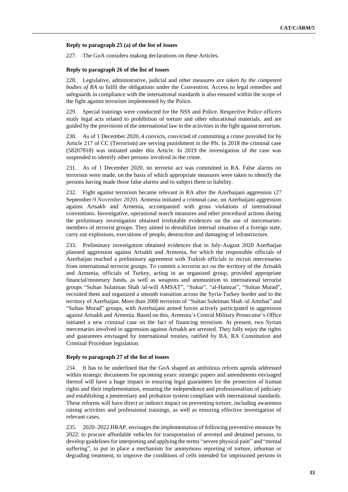#### **Reply to paragraph 25 (a) of the list of issues**

227. The GoA considers making declarations on these Articles*.*

#### **Reply to paragraph 26 of the list of issues**

228. Legislative, administrative, judicial and other measures *are taken by the competent bodies of RA* to fulfil the obligations under the Convention. Access to legal remedies and safeguards in compliance with the international standards is also ensured within the scope of the fight against terrorism implemented by the Police.

229. Special trainings were conducted for the NSS and Police. Respective Police officers study legal acts related to prohibition of torture and other educational materials, and are guided by the provisions of the international law in the activities in the fight against terrorism.

230. As of 1 December 2020, 4 convicts, convicted of committing a crime provided for by Article 217 of CC (Terrorism) are serving punishment in the PIs. In 2018 the criminal case (58207818) was initiated under this Article. In 2019 the investigation of the case was suspended to identify other persons involved in the crime.

231. As of 1 December 2020, no terrorist act was committed in RA. False alarms on terrorism were made, on the basis of which appropriate measures were taken to identify the persons having made those false alarms and to subject them to liability.

232. Fight against terrorism became relevant in RA after the Azerbaijani aggression (27 September-9 November 2020). Armenia initiated a criminal case, on Azerbaijani aggression against Artsakh and Armenia, accompanied with gross violations of international conventions. Investigative, operational search measures and other procedural actions during the preliminary investigation obtained irrefutable evidences on the use of mercenariesmembers of terrorist groups. They aimed to destabilize internal situation of a foreign state, carry out explosions, executions of people, destruction and damaging of infrastructure.

233. Preliminary investigation obtained evidences that in July-August 2020 Azerbaijan planned aggression against Artsakh and Armenia, for which the responsible officials of Azerbaijan reached a preliminary agreement with Turkish officials to recruit mercenaries from international terrorist groups. To commit a terrorist act on the territory of the Artsakh and Armenia, officials of Turkey, acting in an organized group, provided appropriate financial/monetary funds, as well as weapons and ammunition to international terrorist groups "Sultan Sulaiman Shah /al-will AMSAT", "Sukur", "al-Hamzat", "Sultan Murad", recruited them and organized a smooth transition across the Syria-Turkey border and to the territory of Azerbaijan. More than 2000 terrorists of "Sultan Suleiman Shah /al Amshat" and "Sultan Murad" groups, with Azerbaijani armed forces actively participated in aggression against Artsakh and Armenia. Based on this, Armenia's Central Military Prosecutor's Office initiated a new criminal case on the fact of financing terrorism. At present, two Syrian mercenaries involved in aggression against Artsakh are arrested. They fully enjoy the rights and guarantees envisaged by international treaties, ratified by RA, RA Constitution and Criminal Procedure legislation.

#### **Reply to paragraph 27 of the list of issues**

234. It has to be underlined that the GoA shaped an ambitious reform agenda addressed within strategic documents for upcoming years: strategic papers and amendments envisaged thereof will have a huge impact in ensuring legal guarantees for the protection of human rights and their implementation, ensuring the independence and professionalism of judiciary and establishing a penitentiary and probation system compliant with international standards. These reforms will have direct or indirect impact on preventing torture, including awareness raising activities and professional trainings, as well as ensuring effective investigation of relevant cases.

235. 2020–2022 HRAP, envisages the implementation of following preventive measure by 2022: to procure affordable vehicles for transportation of arrested and detained persons, to develop guidelines for interpreting and applying the terms "severe physical pain" and "mental suffering", to put in place a mechanism for anonymous reporting of torture, inhuman or degrading treatment, to improve the conditions of cells intended for imprisoned persons in